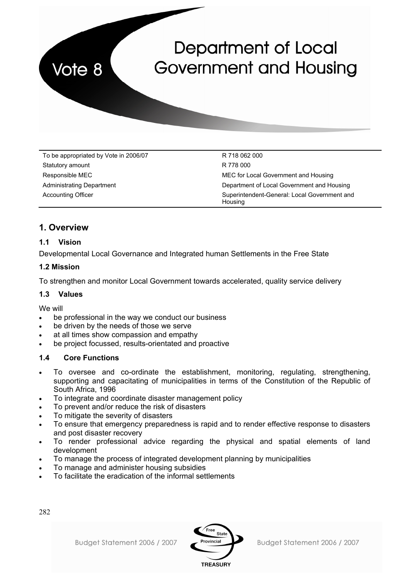**Department of Local Government and Housing** 

To be appropriated by Vote in 2006/07 To be appropriated by Vote in 2006/07 Statutory amount R 778 000

Vote 8

Responsible MEC **MEC** for Local Government and Housing Administrating Department **Department** Department of Local Government and Housing Accounting Officer Superintendent-General: Local Government and **Housing** 

# **1. Overview**

# **1.1 Vision**

Developmental Local Governance and Integrated human Settlements in the Free State

# **1.2 Mission**

To strengthen and monitor Local Government towards accelerated, quality service delivery

# **1.3 Values**

We will

- be professional in the way we conduct our business
- be driven by the needs of those we serve
- at all times show compassion and empathy
- be project focussed, results-orientated and proactive

# **1.4 Core Functions**

- To oversee and co-ordinate the establishment, monitoring, regulating, strengthening, supporting and capacitating of municipalities in terms of the Constitution of the Republic of South Africa, 1996
- To integrate and coordinate disaster management policy
- To prevent and/or reduce the risk of disasters
- To mitigate the severity of disasters
- To ensure that emergency preparedness is rapid and to render effective response to disasters and post disaster recovery
- To render professional advice regarding the physical and spatial elements of land development
- To manage the process of integrated development planning by municipalities
- To manage and administer housing subsidies
- To facilitate the eradication of the informal settlements

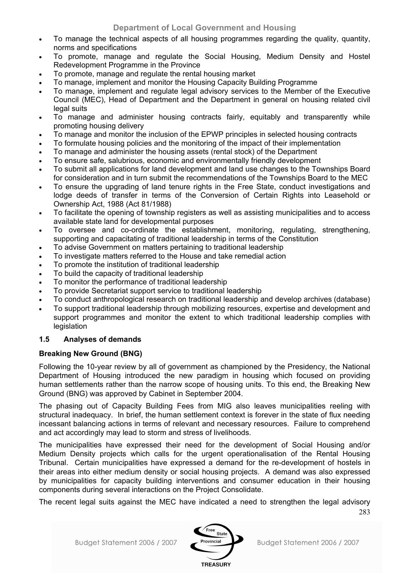- To manage the technical aspects of all housing programmes regarding the quality, quantity, norms and specifications
- To promote, manage and regulate the Social Housing, Medium Density and Hostel Redevelopment Programme in the Province
- To promote, manage and regulate the rental housing market
- To manage, implement and monitor the Housing Capacity Building Programme
- To manage, implement and regulate legal advisory services to the Member of the Executive Council (MEC), Head of Department and the Department in general on housing related civil legal suits
- To manage and administer housing contracts fairly, equitably and transparently while promoting housing delivery
- To manage and monitor the inclusion of the EPWP principles in selected housing contracts
- To formulate housing policies and the monitoring of the impact of their implementation
- To manage and administer the housing assets (rental stock) of the Department
- To ensure safe, salubrious, economic and environmentally friendly development
- To submit all applications for land development and land use changes to the Townships Board for consideration and in turn submit the recommendations of the Townships Board to the MEC
- To ensure the upgrading of land tenure rights in the Free State, conduct investigations and lodge deeds of transfer in terms of the Conversion of Certain Rights into Leasehold or Ownership Act, 1988 (Act 81/1988)
- To facilitate the opening of township registers as well as assisting municipalities and to access available state land for developmental purposes
- To oversee and co-ordinate the establishment, monitoring, regulating, strengthening, supporting and capacitating of traditional leadership in terms of the Constitution
- To advise Government on matters pertaining to traditional leadership
- To investigate matters referred to the House and take remedial action
- To promote the institution of traditional leadership
- To build the capacity of traditional leadership
- To monitor the performance of traditional leadership
- To provide Secretariat support service to traditional leadership
- To conduct anthropological research on traditional leadership and develop archives (database)
- To support traditional leadership through mobilizing resources, expertise and development and support programmes and monitor the extent to which traditional leadership complies with legislation

# **1.5 Analyses of demands**

# **Breaking New Ground (BNG)**

Following the 10-year review by all of government as championed by the Presidency, the National Department of Housing introduced the new paradigm in housing which focused on providing human settlements rather than the narrow scope of housing units. To this end, the Breaking New Ground (BNG) was approved by Cabinet in September 2004.

The phasing out of Capacity Building Fees from MIG also leaves municipalities reeling with structural inadequacy. In brief, the human settlement context is forever in the state of flux needing incessant balancing actions in terms of relevant and necessary resources. Failure to comprehend and act accordingly may lead to storm and stress of livelihoods.

The municipalities have expressed their need for the development of Social Housing and/or Medium Density projects which calls for the urgent operationalisation of the Rental Housing Tribunal. Certain municipalities have expressed a demand for the re-development of hostels in their areas into either medium density or social housing projects. A demand was also expressed by municipalities for capacity building interventions and consumer education in their housing components during several interactions on the Project Consolidate.

The recent legal suits against the MEC have indicated a need to strengthen the legal advisory

283

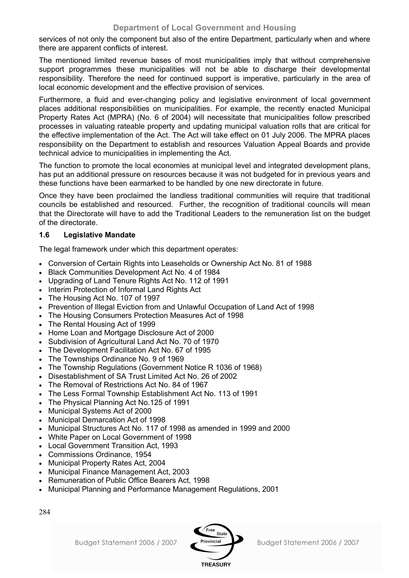services of not only the component but also of the entire Department, particularly when and where there are apparent conflicts of interest.

The mentioned limited revenue bases of most municipalities imply that without comprehensive support programmes these municipalities will not be able to discharge their developmental responsibility. Therefore the need for continued support is imperative, particularly in the area of local economic development and the effective provision of services.

Furthermore, a fluid and ever-changing policy and legislative environment of local government places additional responsibilities on municipalities. For example, the recently enacted Municipal Property Rates Act (MPRA) (No. 6 of 2004) will necessitate that municipalities follow prescribed processes in valuating rateable property and updating municipal valuation rolls that are critical for the effective implementation of the Act. The Act will take effect on 01 July 2006. The MPRA places responsibility on the Department to establish and resources Valuation Appeal Boards and provide technical advice to municipalities in implementing the Act.

The function to promote the local economies at municipal level and integrated development plans, has put an additional pressure on resources because it was not budgeted for in previous years and these functions have been earmarked to be handled by one new directorate in future.

Once they have been proclaimed the landless traditional communities will require that traditional councils be established and resourced. Further, the recognition of traditional councils will mean that the Directorate will have to add the Traditional Leaders to the remuneration list on the budget of the directorate.

# **1.6 Legislative Mandate**

The legal framework under which this department operates:

- Conversion of Certain Rights into Leaseholds or Ownership Act No. 81 of 1988
- Black Communities Development Act No. 4 of 1984
- Upgrading of Land Tenure Rights Act No. 112 of 1991
- Interim Protection of Informal Land Rights Act
- The Housing Act No. 107 of 1997
- Prevention of Illegal Eviction from and Unlawful Occupation of Land Act of 1998
- The Housing Consumers Protection Measures Act of 1998
- The Rental Housing Act of 1999
- Home Loan and Mortgage Disclosure Act of 2000
- Subdivision of Agricultural Land Act No. 70 of 1970
- The Development Facilitation Act No. 67 of 1995
- The Townships Ordinance No. 9 of 1969
- The Township Regulations (Government Notice R 1036 of 1968)
- Disestablishment of SA Trust Limited Act No. 26 of 2002
- The Removal of Restrictions Act No. 84 of 1967
- The Less Formal Township Establishment Act No. 113 of 1991
- The Physical Planning Act No.125 of 1991
- Municipal Systems Act of 2000
- Municipal Demarcation Act of 1998
- Municipal Structures Act No. 117 of 1998 as amended in 1999 and 2000
- White Paper on Local Government of 1998
- Local Government Transition Act, 1993
- Commissions Ordinance, 1954
- Municipal Property Rates Act, 2004
- Municipal Finance Management Act, 2003
- Remuneration of Public Office Bearers Act, 1998
- Municipal Planning and Performance Management Regulations, 2001

284

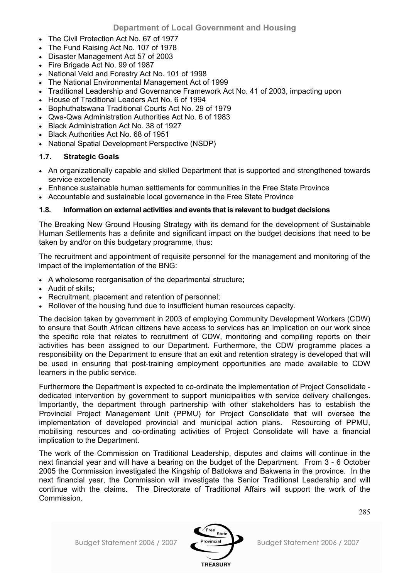- The Civil Protection Act No. 67 of 1977
- The Fund Raising Act No. 107 of 1978
- Disaster Management Act 57 of 2003
- Fire Brigade Act No. 99 of 1987
- National Veld and Forestry Act No. 101 of 1998
- The National Environmental Management Act of 1999
- Traditional Leadership and Governance Framework Act No. 41 of 2003, impacting upon
- House of Traditional Leaders Act No. 6 of 1994
- Bophuthatswana Traditional Courts Act No. 29 of 1979
- Qwa-Qwa Administration Authorities Act No. 6 of 1983
- Black Administration Act No. 38 of 1927
- Black Authorities Act No. 68 of 1951
- National Spatial Development Perspective (NSDP)

# **1.7. Strategic Goals**

- An organizationally capable and skilled Department that is supported and strengthened towards service excellence
- Enhance sustainable human settlements for communities in the Free State Province
- Accountable and sustainable local governance in the Free State Province

# **1.8. Information on external activities and events that is relevant to budget decisions**

The Breaking New Ground Housing Strategy with its demand for the development of Sustainable Human Settlements has a definite and significant impact on the budget decisions that need to be taken by and/or on this budgetary programme, thus:

The recruitment and appointment of requisite personnel for the management and monitoring of the impact of the implementation of the BNG:

- A wholesome reorganisation of the departmental structure;
- Audit of skills;
- Recruitment, placement and retention of personnel;
- Rollover of the housing fund due to insufficient human resources capacity.

The decision taken by government in 2003 of employing Community Development Workers (CDW) to ensure that South African citizens have access to services has an implication on our work since the specific role that relates to recruitment of CDW, monitoring and compiling reports on their activities has been assigned to our Department. Furthermore, the CDW programme places a responsibility on the Department to ensure that an exit and retention strategy is developed that will be used in ensuring that post-training employment opportunities are made available to CDW learners in the public service.

Furthermore the Department is expected to co-ordinate the implementation of Project Consolidate dedicated intervention by government to support municipalities with service delivery challenges. Importantly, the department through partnership with other stakeholders has to establish the Provincial Project Management Unit (PPMU) for Project Consolidate that will oversee the implementation of developed provincial and municipal action plans. Resourcing of PPMU, mobilising resources and co-ordinating activities of Project Consolidate will have a financial implication to the Department.

The work of the Commission on Traditional Leadership, disputes and claims will continue in the next financial year and will have a bearing on the budget of the Department. From 3 - 6 October 2005 the Commission investigated the Kingship of Batlokwa and Bakwena in the province. In the next financial year, the Commission will investigate the Senior Traditional Leadership and will continue with the claims. The Directorate of Traditional Affairs will support the work of the Commission.

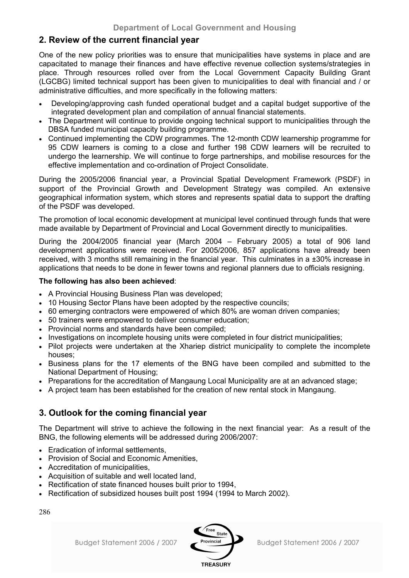# **2. Review of the current financial year**

One of the new policy priorities was to ensure that municipalities have systems in place and are capacitated to manage their finances and have effective revenue collection systems/strategies in place. Through resources rolled over from the Local Government Capacity Building Grant (LGCBG) limited technical support has been given to municipalities to deal with financial and / or administrative difficulties, and more specifically in the following matters:

- Developing/approving cash funded operational budget and a capital budget supportive of the integrated development plan and compilation of annual financial statements.
- The Department will continue to provide ongoing technical support to municipalities through the DBSA funded municipal capacity building programme.
- Continued implementing the CDW programmes. The 12-month CDW learnership programme for 95 CDW learners is coming to a close and further 198 CDW learners will be recruited to undergo the learnership. We will continue to forge partnerships, and mobilise resources for the effective implementation and co-ordination of Project Consolidate.

During the 2005/2006 financial year, a Provincial Spatial Development Framework (PSDF) in support of the Provincial Growth and Development Strategy was compiled. An extensive geographical information system, which stores and represents spatial data to support the drafting of the PSDF was developed.

The promotion of local economic development at municipal level continued through funds that were made available by Department of Provincial and Local Government directly to municipalities.

During the 2004/2005 financial year (March 2004 – February 2005) a total of 906 land development applications were received. For 2005/2006, 857 applications have already been received, with 3 months still remaining in the financial year. This culminates in a ±30% increase in applications that needs to be done in fewer towns and regional planners due to officials resigning.

# **The following has also been achieved**:

- A Provincial Housing Business Plan was developed;
- 10 Housing Sector Plans have been adopted by the respective councils;
- 60 emerging contractors were empowered of which 80% are woman driven companies;
- 50 trainers were empowered to deliver consumer education;
- Provincial norms and standards have been compiled;
- Investigations on incomplete housing units were completed in four district municipalities;
- Pilot projects were undertaken at the Xhariep district municipality to complete the incomplete houses;
- Business plans for the 17 elements of the BNG have been compiled and submitted to the National Department of Housing;
- Preparations for the accreditation of Mangaung Local Municipality are at an advanced stage;
- A project team has been established for the creation of new rental stock in Mangaung.

# **3. Outlook for the coming financial year**

The Department will strive to achieve the following in the next financial year: As a result of the BNG, the following elements will be addressed during 2006/2007:

- Eradication of informal settlements,
- Provision of Social and Economic Amenities,
- Accreditation of municipalities,
- Acquisition of suitable and well located land,
- Rectification of state financed houses built prior to 1994,
- Rectification of subsidized houses built post 1994 (1994 to March 2002).

286



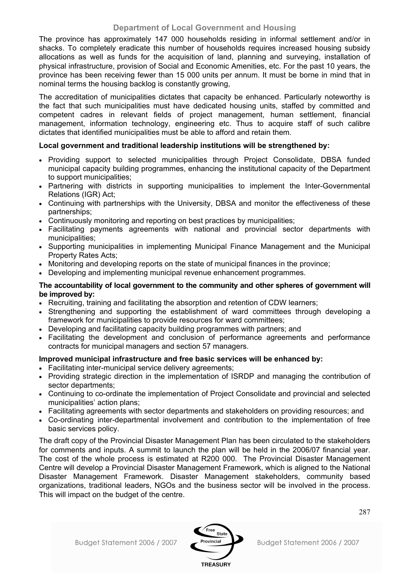The province has approximately 147 000 households residing in informal settlement and/or in shacks. To completely eradicate this number of households requires increased housing subsidy allocations as well as funds for the acquisition of land, planning and surveying, installation of physical infrastructure, provision of Social and Economic Amenities, etc. For the past 10 years, the province has been receiving fewer than 15 000 units per annum. It must be borne in mind that in nominal terms the housing backlog is constantly growing,

The accreditation of municipalities dictates that capacity be enhanced. Particularly noteworthy is the fact that such municipalities must have dedicated housing units, staffed by committed and competent cadres in relevant fields of project management, human settlement, financial management, information technology, engineering etc. Thus to acquire staff of such calibre dictates that identified municipalities must be able to afford and retain them.

# **Local government and traditional leadership institutions will be strengthened by:**

- Providing support to selected municipalities through Project Consolidate, DBSA funded municipal capacity building programmes, enhancing the institutional capacity of the Department to support municipalities;
- Partnering with districts in supporting municipalities to implement the Inter-Governmental Relations (IGR) Act;
- Continuing with partnerships with the University, DBSA and monitor the effectiveness of these partnerships;
- Continuously monitoring and reporting on best practices by municipalities;
- Facilitating payments agreements with national and provincial sector departments with municipalities;
- Supporting municipalities in implementing Municipal Finance Management and the Municipal Property Rates Acts;
- Monitoring and developing reports on the state of municipal finances in the province;
- Developing and implementing municipal revenue enhancement programmes.

## **The accountability of local government to the community and other spheres of government will be improved by:**

- Recruiting, training and facilitating the absorption and retention of CDW learners;
- Strengthening and supporting the establishment of ward committees through developing a framework for municipalities to provide resources for ward committees;
- Developing and facilitating capacity building programmes with partners; and
- Facilitating the development and conclusion of performance agreements and performance contracts for municipal managers and section 57 managers.

# **Improved municipal infrastructure and free basic services will be enhanced by:**

- Facilitating inter-municipal service delivery agreements:
- Providing strategic direction in the implementation of ISRDP and managing the contribution of sector departments;
- Continuing to co-ordinate the implementation of Project Consolidate and provincial and selected municipalities' action plans;
- Facilitating agreements with sector departments and stakeholders on providing resources; and
- Co-ordinating inter-departmental involvement and contribution to the implementation of free basic services policy.

The draft copy of the Provincial Disaster Management Plan has been circulated to the stakeholders for comments and inputs. A summit to launch the plan will be held in the 2006/07 financial year. The cost of the whole process is estimated at R200 000. The Provincial Disaster Management Centre will develop a Provincial Disaster Management Framework, which is aligned to the National Disaster Management Framework. Disaster Management stakeholders, community based organizations, traditional leaders, NGOs and the business sector will be involved in the process. This will impact on the budget of the centre.

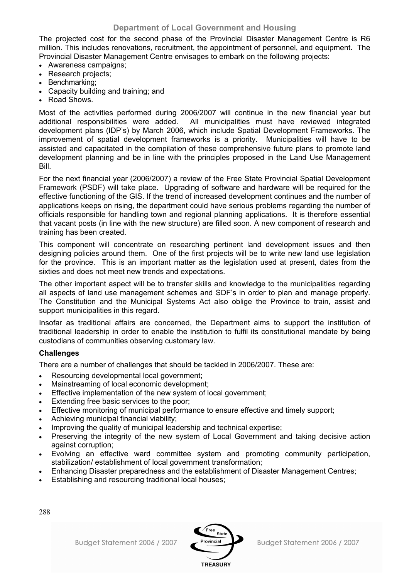The projected cost for the second phase of the Provincial Disaster Management Centre is R6 million. This includes renovations, recruitment, the appointment of personnel, and equipment. The Provincial Disaster Management Centre envisages to embark on the following projects:

- Awareness campaigns;
- Research projects:
- Benchmarking;
- Capacity building and training; and
- Road Shows.

Most of the activities performed during 2006/2007 will continue in the new financial year but additional responsibilities were added. All municipalities must have reviewed integrated development plans (IDP's) by March 2006, which include Spatial Development Frameworks. The improvement of spatial development frameworks is a priority. Municipalities will have to be assisted and capacitated in the compilation of these comprehensive future plans to promote land development planning and be in line with the principles proposed in the Land Use Management Bill.

For the next financial year (2006/2007) a review of the Free State Provincial Spatial Development Framework (PSDF) will take place. Upgrading of software and hardware will be required for the effective functioning of the GIS. If the trend of increased development continues and the number of applications keeps on rising, the department could have serious problems regarding the number of officials responsible for handling town and regional planning applications. It is therefore essential that vacant posts (in line with the new structure) are filled soon. A new component of research and training has been created.

This component will concentrate on researching pertinent land development issues and then designing policies around them. One of the first projects will be to write new land use legislation for the province. This is an important matter as the legislation used at present, dates from the sixties and does not meet new trends and expectations.

The other important aspect will be to transfer skills and knowledge to the municipalities regarding all aspects of land use management schemes and SDF's in order to plan and manage properly. The Constitution and the Municipal Systems Act also oblige the Province to train, assist and support municipalities in this regard.

Insofar as traditional affairs are concerned, the Department aims to support the institution of traditional leadership in order to enable the institution to fulfil its constitutional mandate by being custodians of communities observing customary law.

# **Challenges**

There are a number of challenges that should be tackled in 2006/2007. These are:

- Resourcing developmental local government;
- Mainstreaming of local economic development;
- Effective implementation of the new system of local government:
- Extending free basic services to the poor;
- Effective monitoring of municipal performance to ensure effective and timely support;
- Achieving municipal financial viability;
- Improving the quality of municipal leadership and technical expertise;
- Preserving the integrity of the new system of Local Government and taking decisive action against corruption;
- Evolving an effective ward committee system and promoting community participation, stabilization/ establishment of local government transformation;

Free State

**TREASURY** 

- Enhancing Disaster preparedness and the establishment of Disaster Management Centres;
- Establishing and resourcing traditional local houses;

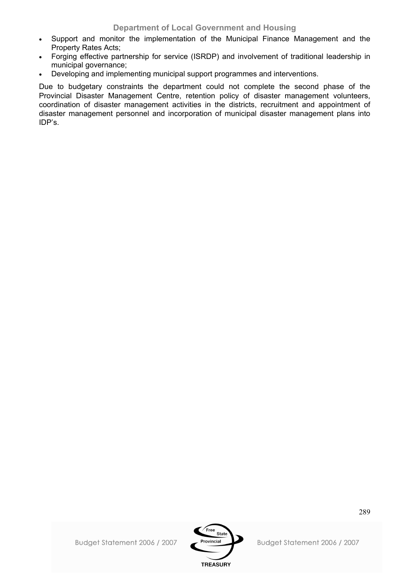- Support and monitor the implementation of the Municipal Finance Management and the Property Rates Acts;
- Forging effective partnership for service (ISRDP) and involvement of traditional leadership in municipal governance;
- Developing and implementing municipal support programmes and interventions.

Due to budgetary constraints the department could not complete the second phase of the Provincial Disaster Management Centre, retention policy of disaster management volunteers, coordination of disaster management activities in the districts, recruitment and appointment of disaster management personnel and incorporation of municipal disaster management plans into IDP's.

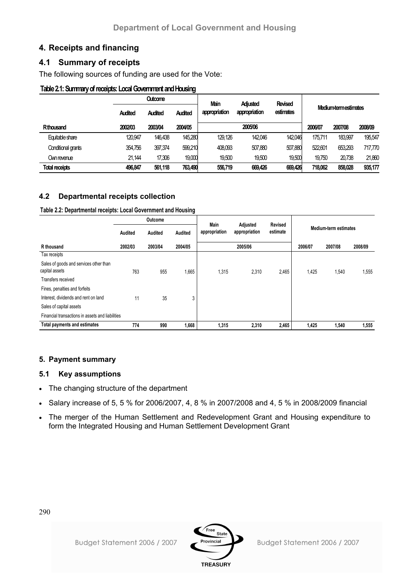# **4. Receipts and financing**

# **4.1 Summary of receipts**

The following sources of funding are used for the Vote:

# **Table 2.1: Summary of receipts: Local Government and Housing**

|                       | <b>Outcome</b> |                |                | Main          | <b>Adjusted</b> | <b>Revised</b> |         |                      |         |  |
|-----------------------|----------------|----------------|----------------|---------------|-----------------|----------------|---------|----------------------|---------|--|
|                       | <b>Audited</b> | <b>Audited</b> | <b>Audited</b> | appropriation | appropriation   | estimates      |         | Medium termestimates |         |  |
| Rthousand             | 2002/03        | 2003/04        | 2004/05        |               | 2005/06         |                | 2006/07 | 2007/08              | 2008/09 |  |
| Equitable share       | 120,947        | 146.438        | 145,280        | 129.126       | 142,046         | 142.046        | 175.711 | 183,997              | 195.547 |  |
| Conditional grants    | 354.756        | 397,374        | 599,210        | 408.093       | 507,880         | 507,880        | 522.601 | 653.293              | 717.770 |  |
| Own revenue           | 21.144         | 17,306         | 19,000         | 19,500        | 19,500          | 19,500         | 19.750  | 20,738               | 21,860  |  |
| <b>Total receipts</b> | 496,847        | 561.118        | 763,490        | 556,719       | 669.426         | 669,426        | 718,062 | 858,028              | 935,177 |  |

# **4.2 Departmental receipts collection**

**Table 2.2: Departmental receipts: Local Government and Housing**

|                                                          | Outcome |         | <b>Main</b> |               | <b>Revised</b>            |          |         |                       |         |
|----------------------------------------------------------|---------|---------|-------------|---------------|---------------------------|----------|---------|-----------------------|---------|
|                                                          | Audited | Audited | Audited     | appropriation | Adjusted<br>appropriation | estimate |         | Medium-term estimates |         |
| R thousand                                               | 2002/03 | 2003/04 | 2004/05     |               | 2005/06                   |          | 2006/07 | 2007/08               | 2008/09 |
| Tax receipts                                             |         |         |             |               |                           |          |         |                       |         |
| Sales of goods and services other than<br>capital assets | 763     | 955     | 1,665       | 1.315         | 2,310                     | 2,465    | 1,425   | 1,540                 | 1,555   |
| Transfers received                                       |         |         |             |               |                           |          |         |                       |         |
| Fines, penalties and forfeits                            |         |         |             |               |                           |          |         |                       |         |
| Interest, dividends and rent on land                     | 11      | 35      | 3           |               |                           |          |         |                       |         |
| Sales of capital assets                                  |         |         |             |               |                           |          |         |                       |         |
| Financial transactions in assets and liabilities         |         |         |             |               |                           |          |         |                       |         |
| <b>Total payments and estimates</b>                      | 774     | 990     | 1,668       | 1,315         | 2,310                     | 2,465    | 1,425   | 1,540                 | 1,555   |

# **5. Payment summary**

# **5.1 Key assumptions**

- The changing structure of the department
- Salary increase of 5, 5 % for 2006/2007, 4, 8 % in 2007/2008 and 4, 5 % in 2008/2009 financial
- The merger of the Human Settlement and Redevelopment Grant and Housing expenditure to form the Integrated Housing and Human Settlement Development Grant



**TREASURY**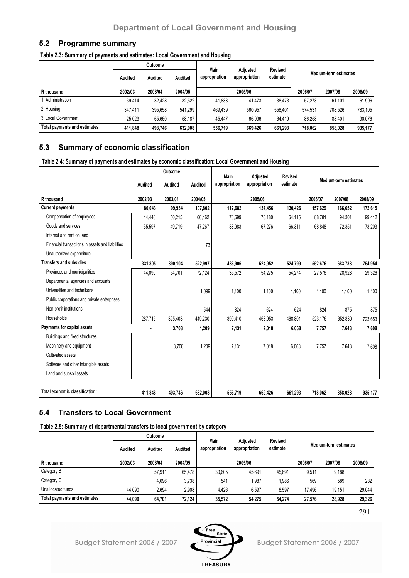### **5.2 Programme summary**

**Table 2.3: Summary of payments and estimates: Local Government and Housing**

| Outcome                      |                |         | Main    | Adiusted      | Revised       |          |         |                       |         |
|------------------------------|----------------|---------|---------|---------------|---------------|----------|---------|-----------------------|---------|
|                              | <b>Audited</b> | Audited | Audited | appropriation | appropriation | estimate |         | Medium-term estimates |         |
| R thousand                   | 2002/03        | 2003/04 | 2004/05 |               | 2005/06       |          | 2006/07 | 2007/08               | 2008/09 |
| 1: Administration            | 39.414         | 32.428  | 32.522  | 41.833        | 41.473        | 38.473   | 57.273  | 61.101                | 61,996  |
| 2: Housing                   | 347.411        | 395.658 | 541.299 | 469.439       | 560,957       | 558,401  | 574.531 | 708.526               | 783,105 |
| 3: Local Government          | 25,023         | 65.660  | 58.187  | 45.447        | 66.996        | 64.419   | 86.258  | 88.401                | 90,076  |
| Total payments and estimates | 411.848        | 493.746 | 632,008 | 556,719       | 669,426       | 661,293  | 718.062 | 858.028               | 935,177 |

# **5.3 Summary of economic classification**

**Table 2.4: Summary of payments and estimates by economic classification: Local Government and Housing**

|                                                  | Outcome |         |         |                       |                           |                            |         |                              |         |
|--------------------------------------------------|---------|---------|---------|-----------------------|---------------------------|----------------------------|---------|------------------------------|---------|
|                                                  | Audited | Audited | Audited | Main<br>appropriation | Adjusted<br>appropriation | <b>Revised</b><br>estimate |         | <b>Medium-term estimates</b> |         |
| R thousand                                       | 2002/03 | 2003/04 | 2004/05 |                       | 2005/06                   |                            | 2006/07 | 2007/08                      | 2008/09 |
| <b>Current payments</b>                          | 80,043  | 99,934  | 107,802 | 112,682               | 137,456                   | 130,426                    | 157,629 | 166,652                      | 172,615 |
| Compensation of employees                        | 44.446  | 50.215  | 60,462  | 73.699                | 70.180                    | 64,115                     | 88,781  | 94,301                       | 99,412  |
| Goods and services                               | 35,597  | 49,719  | 47,267  | 38,983                | 67,276                    | 66,311                     | 68,848  | 72,351                       | 73,203  |
| Interest and rent on land                        |         |         |         |                       |                           |                            |         |                              |         |
| Financial transactions in assets and liabilities |         |         | 73      |                       |                           |                            |         |                              |         |
| Unauthorized expenditure                         |         |         |         |                       |                           |                            |         |                              |         |
| <b>Transfers and subsidies</b>                   | 331,805 | 390,104 | 522,997 | 436,906               | 524,952                   | 524,799                    | 552,676 | 683,733                      | 754,954 |
| Provinces and municipalities                     | 44,090  | 64,701  | 72,124  | 35,572                | 54,275                    | 54,274                     | 27,576  | 28,928                       | 29,326  |
| Departmental agencies and accounts               |         |         |         |                       |                           |                            |         |                              |         |
| Universities and technikons                      |         |         | 1,099   | 1.100                 | 1.100                     | 1,100                      | 1.100   | 1,100                        | 1,100   |
| Public corporations and private enterprises      |         |         |         |                       |                           |                            |         |                              |         |
| Non-profit institutions                          |         |         | 544     | 824                   | 624                       | 624                        | 824     | 875                          | 875     |
| Households                                       | 287,715 | 325,403 | 449,230 | 399,410               | 468,953                   | 468,801                    | 523,176 | 652,830                      | 723,653 |
| Payments for capital assets                      | ٠       | 3,708   | 1,209   | 7,131                 | 7,018                     | 6,068                      | 7,757   | 7,643                        | 7,608   |
| Buildings and fixed structures                   |         |         |         |                       |                           |                            |         |                              |         |
| Machinery and equipment                          |         | 3,708   | 1,209   | 7,131                 | 7,018                     | 6,068                      | 7,757   | 7,643                        | 7,608   |
| Cultivated assets                                |         |         |         |                       |                           |                            |         |                              |         |
| Software and other intangible assets             |         |         |         |                       |                           |                            |         |                              |         |
| Land and subsoil assets                          |         |         |         |                       |                           |                            |         |                              |         |
| Total economic classification:                   | 411,848 | 493,746 | 632,008 | 556,719               | 669,426                   | 661,293                    | 718,062 | 858,028                      | 935,177 |

# **5.4 Transfers to Local Government**

**Table 2.5: Summary of departmental transfers to local government by category**

|                              | <b>Outcome</b> |         | Main    |               |                           |                     |         |                       |         |
|------------------------------|----------------|---------|---------|---------------|---------------------------|---------------------|---------|-----------------------|---------|
|                              | Audited        | Audited | Audited | appropriation | Adjusted<br>appropriation | Revised<br>estimate |         | Medium-term estimates |         |
| R thousand                   | 2002/03        | 2003/04 | 2004/05 |               | 2005/06                   |                     | 2006/07 | 2007/08               | 2008/09 |
| Category B                   |                | 57,911  | 65.478  | 30,605        | 45.691                    | 45.691              | 9,511   | 9,188                 |         |
| Category C                   |                | 4,096   | 3,738   | 541           | 1,987                     | 1,986               | 569     | 589                   | 282     |
| Unallocated funds            | 44.090         | 2.694   | 2,908   | 4.426         | 6,597                     | 6,597               | 17.496  | 19,151                | 29,044  |
| Total payments and estimates | 44.090         | 64,701  | 72.124  | 35.572        | 54.275                    | 54,274              | 27.576  | 28.928                | 29,326  |

291

Budget Statement 2006 / 2007

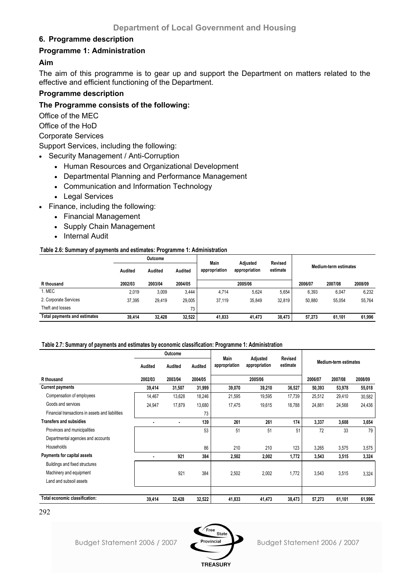# **6. Programme description**

# **Programme 1: Administration**

# **Aim**

The aim of this programme is to gear up and support the Department on matters related to the effective and efficient functioning of the Department.

# **Programme description**

# **The Programme consists of the following:**

Office of the MEC

Office of the HoD

Corporate Services

Support Services, including the following:

- Security Management / Anti-Corruption
	- Human Resources and Organizational Development
	- Departmental Planning and Performance Management
	- Communication and Information Technology
	- Legal Services
- Finance, including the following:
	- Financial Management
	- Supply Chain Management
	- Internal Audit

### **Table 2.6: Summary of payments and estimates: Programme 1: Administration**

| Outcome                      |                | Main    | Revised        |               |                           |          |         |                              |         |
|------------------------------|----------------|---------|----------------|---------------|---------------------------|----------|---------|------------------------------|---------|
|                              | <b>Audited</b> | Audited | <b>Audited</b> | appropriation | Adiusted<br>appropriation | estimate |         | <b>Medium-term estimates</b> |         |
| R thousand                   | 2002/03        | 2003/04 | 2004/05        |               | 2005/06                   |          | 2006/07 | 2007/08                      | 2008/09 |
| 1. MEC                       | 2,019          | 3,009   | 3.444          | 4,714         | 5,624                     | 5,654    | 6,393   | 6,047                        | 6,232   |
| 2. Corporate Services        | 37,395         | 29,419  | 29,005         | 37.119        | 35,849                    | 32.819   | 50.880  | 55,054                       | 55,764  |
| Theft and losses             |                |         | 73             |               |                           |          |         |                              |         |
| Total payments and estimates | 39.414         | 32.428  | 32,522         | 41.833        | 41.473                    | 38.473   | 57.273  | 61.101                       | 61.996  |

### **Table 2.7: Summary of payments and estimates by economic classification: Programme 1: Administration**

|                                                  | Outcome        |         |         |                       |                           |                            |         |                       |         |
|--------------------------------------------------|----------------|---------|---------|-----------------------|---------------------------|----------------------------|---------|-----------------------|---------|
|                                                  | Audited        | Audited | Audited | Main<br>appropriation | Adjusted<br>appropriation | <b>Revised</b><br>estimate |         | Medium-term estimates |         |
| R thousand                                       | 2002/03        | 2003/04 | 2004/05 |                       | 2005/06                   |                            | 2006/07 | 2007/08               | 2008/09 |
| <b>Current payments</b>                          | 39,414         | 31,507  | 31,999  | 39,070                | 39,210                    | 36,527                     | 50,393  | 53,978                | 55,018  |
| Compensation of employees                        | 14,467         | 13,628  | 18,246  | 21,595                | 19,595                    | 17,739                     | 25,512  | 29,410                | 30,582  |
| Goods and services                               | 24,947         | 17,879  | 13,680  | 17,475                | 19,615                    | 18,788                     | 24,881  | 24,568                | 24,436  |
| Financial transactions in assets and liabilities |                |         | 73      |                       |                           |                            |         |                       |         |
| <b>Transfers and subsidies</b>                   |                | ٠       | 139     | 261                   | 261                       | 174                        | 3,337   | 3,608                 | 3,654   |
| Provinces and municipalities                     |                |         | 53      | 51                    | 51                        | 51                         | 72      | 33                    | 79      |
| Departmental agencies and accounts               |                |         |         |                       |                           |                            |         |                       |         |
| Households                                       |                |         | 86      | 210                   | 210                       | 123                        | 3,265   | 3,575                 | 3,575   |
| Payments for capital assets                      | $\blacksquare$ | 921     | 384     | 2,502                 | 2,002                     | 1,772                      | 3,543   | 3,515                 | 3,324   |
| Buildings and fixed structures                   |                |         |         |                       |                           |                            |         |                       |         |
| Machinery and equipment                          |                | 921     | 384     | 2,502                 | 2,002                     | 1,772                      | 3,543   | 3,515                 | 3,324   |
| Land and subsoil assets                          |                |         |         |                       |                           |                            |         |                       |         |
|                                                  |                |         |         |                       |                           |                            |         |                       |         |
| Total economic classification:                   | 39,414         | 32,428  | 32,522  | 41,833                | 41,473                    | 38,473                     | 57,273  | 61,101                | 61,996  |

<sup>292</sup>

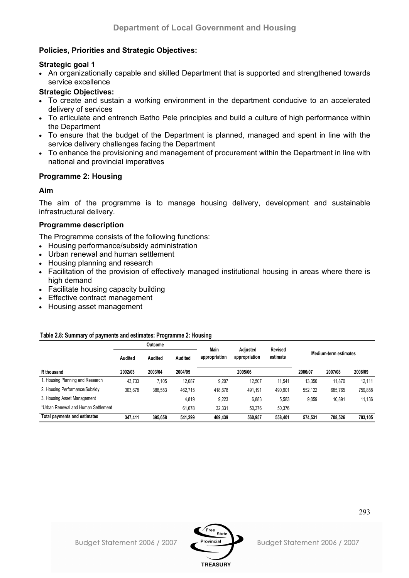# **Policies, Priorities and Strategic Objectives:**

# **Strategic goal 1**

• An organizationally capable and skilled Department that is supported and strengthened towards service excellence

# **Strategic Objectives:**

- To create and sustain a working environment in the department conducive to an accelerated delivery of services
- To articulate and entrench Batho Pele principles and build a culture of high performance within the Department
- To ensure that the budget of the Department is planned, managed and spent in line with the service delivery challenges facing the Department
- To enhance the provisioning and management of procurement within the Department in line with national and provincial imperatives

# **Programme 2: Housing**

# **Aim**

The aim of the programme is to manage housing delivery, development and sustainable infrastructural delivery.

# **Programme description**

The Programme consists of the following functions:

- Housing performance/subsidy administration
- Urban renewal and human settlement
- Housing planning and research
- Facilitation of the provision of effectively managed institutional housing in areas where there is high demand
- Facilitate housing capacity building
- Effective contract management
- Housing asset management

# **Table 2.8: Summary of payments and estimates: Programme 2: Housing**

|                                     | Outcome |         | <b>Main</b> | Adiusted      | Revised       |          |                       |         |         |
|-------------------------------------|---------|---------|-------------|---------------|---------------|----------|-----------------------|---------|---------|
|                                     | Audited | Audited | Audited     | appropriation | appropriation | estimate | Medium-term estimates |         |         |
| R thousand                          | 2002/03 | 2003/04 | 2004/05     |               | 2005/06       |          | 2006/07               | 2007/08 | 2008/09 |
| 1. Housing Planning and Research    | 43.733  | 7.105   | 12,087      | 9.207         | 12.507        | 11,541   | 13.350                | 11.870  | 12,111  |
| 2. Housing Performance/Subsidy      | 303.678 | 388,553 | 462,715     | 418.678       | 491.191       | 490,901  | 552.122               | 685.765 | 759,858 |
| 3. Housing Asset Management         |         |         | 4,819       | 9.223         | 6,883         | 5,583    | 9.059                 | 10.891  | 11.136  |
| *Urban Renewal and Human Settlement |         |         | 61.678      | 32.331        | 50.376        | 50,376   |                       |         |         |
| Total payments and estimates        | 347.411 | 395.658 | 541,299     | 469.439       | 560.957       | 558,401  | 574.531               | 708.526 | 783,105 |

**TREASURY**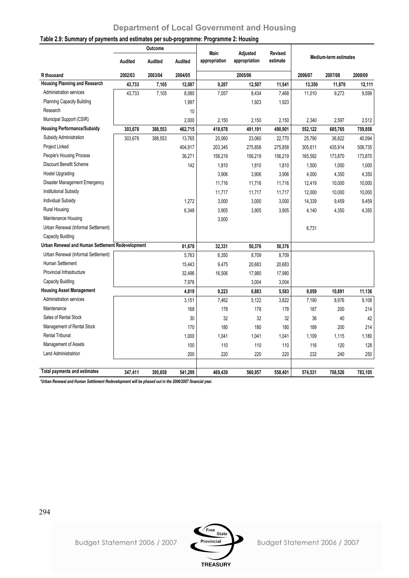|                                                  |                | Outcome |         |                       |                           |                            |         |                              |         |
|--------------------------------------------------|----------------|---------|---------|-----------------------|---------------------------|----------------------------|---------|------------------------------|---------|
|                                                  | <b>Audited</b> | Audited | Audited | Main<br>appropriation | Adjusted<br>appropriation | <b>Revised</b><br>estimate |         | <b>Medium-term estimates</b> |         |
| R thousand                                       | 2002/03        | 2003/04 | 2004/05 |                       | 2005/06                   |                            | 2006/07 | 2007/08                      | 2008/09 |
| <b>Housing Planning and Research</b>             | 43,733         | 7,105   | 12,087  | 9,207                 | 12,507                    | 11,541                     | 13,350  | 11,870                       | 12,111  |
| Administration services                          | 43,733         | 7,105   | 8,080   | 7,057                 | 8,434                     | 7,468                      | 11,010  | 9,273                        | 9,599   |
| <b>Planning Capacity Building</b>                |                |         | 1,997   |                       | 1,923                     | 1,923                      |         |                              |         |
| Research                                         |                |         | 10      |                       |                           |                            |         |                              |         |
| Municipal Support (CSIR)                         |                |         | 2,000   | 2,150                 | 2,150                     | 2,150                      | 2,340   | 2,597                        | 2,512   |
| <b>Housing Performance/Subsidy</b>               | 303,678        | 388,553 | 462,715 | 418,678               | 491,191                   | 490,901                    | 552,122 | 685,765                      | 759,858 |
| Subsidy Administration                           | 303,678        | 388,553 | 13,765  | 20,060                | 23,060                    | 22,770                     | 25,790  | 36,822                       | 40,094  |
| Project Linked                                   |                |         | 404,917 | 203,345               | 275,858                   | 275,858                    | 305,611 | 435,914                      | 506,735 |
| People's Housing Process                         |                |         | 36,271  | 156,219               | 156,219                   | 156,219                    | 165,592 | 173,870                      | 173,870 |
| Discount Benefit Scheme                          |                |         | 142     | 1,810                 | 1,810                     | 1,810                      | 1,500   | 1,000                        | 1,000   |
| <b>Hostel Upgrading</b>                          |                |         |         | 3,906                 | 3,906                     | 3,906                      | 4,000   | 4,350                        | 4,350   |
| Disaster Management Emergency                    |                |         |         | 11,716                | 11,716                    | 11,716                     | 12,419  | 10,000                       | 10,000  |
| Institutional Subsidy                            |                |         |         | 11,717                | 11,717                    | 11,717                     | 12,000  | 10,000                       | 10,000  |
| <b>Individual Subsidy</b>                        |                |         | 1,272   | 3,000                 | 3,000                     | 3,000                      | 14,339  | 9,459                        | 9,459   |
| <b>Rural Housing</b>                             |                |         | 6,348   | 3,905                 | 3,905                     | 3,905                      | 4,140   | 4,350                        | 4,350   |
| Maintenance Housing                              |                |         |         | 3,000                 |                           |                            |         |                              |         |
| Urban Renewal (Informal Settlement)              |                |         |         |                       |                           |                            | 6,731   |                              |         |
| <b>Capacity Buidling</b>                         |                |         |         |                       |                           |                            |         |                              |         |
| Urban Renewal and Human Settlement Redevelopment |                |         | 61,678  | 32,331                | 50,376                    | 50,376                     |         |                              |         |
| Urban Renewal (Informal Settlement)              |                |         | 5,763   | 6,350                 | 8,709                     | 8,709                      |         |                              |         |
| Human Settlement                                 |                |         | 15,443  | 9,475                 | 20,683                    | 20,683                     |         |                              |         |
| Provincial Infrastructure                        |                |         | 32,496  | 16,506                | 17,980                    | 17,980                     |         |                              |         |
| <b>Capacity Buidling</b>                         |                |         | 7,976   |                       | 3,004                     | 3,004                      |         |                              |         |
| <b>Housing Asset Management</b>                  |                |         | 4,819   | 9,223                 | 6,883                     | 5,583                      | 9,059   | 10,891                       | 11,136  |
| <b>Administration services</b>                   |                |         | 3,151   | 7,462                 | 5,122                     | 3,822                      | 7,190   | 8,976                        | 9,108   |
| Maintenance                                      |                |         | 168     | 178                   | 178                       | 178                        | 187     | 200                          | 214     |
| Sales of Rental Stock                            |                |         | 30      | 32                    | 32                        | 32                         | 36      | 40                           | 42      |
| Management of Rental Stock                       |                |         | 170     | 180                   | 180                       | 180                        | 189     | 200                          | 214     |
| <b>Rental Tribunal</b>                           |                |         | 1,000   | 1.041                 | 1,041                     | 1,041                      | 1,109   | 1,115                        | 1,180   |
| Management of Assets                             |                |         | 100     | 110                   | 110                       | 110                        | 116     | 120                          | 128     |
| <b>Land Administratrion</b>                      |                |         | 200     | 220                   | 220                       | 220                        | 232     | 240                          | 250     |
| <b>Total payments and estimates</b>              | 347,411        | 395,658 | 541,299 | 469,439               | 560,957                   | 558,401                    | 574,531 | 708,526                      | 783,105 |

# **Table 2.9: Summary of payments and estimates per sub-programme: Programme 2: Housing**

*\*Urban Renewal and Human Settlement Redevelopment will be phased out in the 2006/2007 financial year.*

294



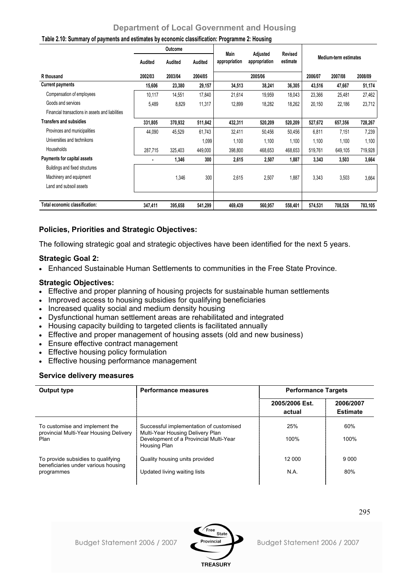|                                                  | <b>Outcome</b> |         |         |                       |                           |                            |                       |         |         |
|--------------------------------------------------|----------------|---------|---------|-----------------------|---------------------------|----------------------------|-----------------------|---------|---------|
|                                                  | Audited        | Audited | Audited | Main<br>appropriation | Adjusted<br>appropriation | <b>Revised</b><br>estimate | Medium-term estimates |         |         |
| R thousand                                       | 2002/03        | 2003/04 | 2004/05 |                       | 2005/06                   |                            | 2006/07               | 2007/08 | 2008/09 |
| <b>Current payments</b>                          | 15,606         | 23,380  | 29,157  | 34,513                | 38,241                    | 36,305                     | 43,516                | 47,667  | 51,174  |
| Compensation of employees                        | 10,117         | 14,551  | 17,840  | 21,614                | 19,959                    | 18,043                     | 23,366                | 25,481  | 27,462  |
| Goods and services                               | 5,489          | 8,829   | 11,317  | 12,899                | 18,282                    | 18,262                     | 20,150                | 22,186  | 23,712  |
| Financial transactions in assets and liabilities |                |         |         |                       |                           |                            |                       |         |         |
| <b>Transfers and subsidies</b>                   | 331,805        | 370,932 | 511,842 | 432,311               | 520,209                   | 520,209                    | 527,672               | 657,356 | 728,267 |
| Provinces and municipalities                     | 44,090         | 45,529  | 61,743  | 32,411                | 50,456                    | 50,456                     | 6,811                 | 7,151   | 7,239   |
| Universities and technikons                      |                |         | 1,099   | 1,100                 | 1,100                     | 1,100                      | 1,100                 | 1,100   | 1,100   |
| Households                                       | 287,715        | 325,403 | 449,000 | 398,800               | 468,653                   | 468,653                    | 519,761               | 649,105 | 719,928 |
| Payments for capital assets                      |                | 1,346   | 300     | 2,615                 | 2,507                     | 1,887                      | 3,343                 | 3,503   | 3,664   |
| Buildings and fixed structures                   |                |         |         |                       |                           |                            |                       |         |         |
| Machinery and equipment                          |                | 1,346   | 300     | 2,615                 | 2,507                     | 1,887                      | 3,343                 | 3,503   | 3,664   |
| Land and subsoil assets                          |                |         |         |                       |                           |                            |                       |         |         |
| Total economic classification:                   | 347,411        | 395,658 | 541,299 | 469,439               | 560,957                   | 558,401                    | 574,531               | 708,526 | 783,105 |

### **Table 2.10: Summary of payments and estimates by economic classification: Programme 2: Housing**

# **Policies, Priorities and Strategic Objectives:**

The following strategic goal and strategic objectives have been identified for the next 5 years.

# **Strategic Goal 2:**

• Enhanced Sustainable Human Settlements to communities in the Free State Province.

# **Strategic Objectives:**

- Effective and proper planning of housing projects for sustainable human settlements
- Improved access to housing subsidies for qualifying beneficiaries
- Increased quality social and medium density housing
- Dysfunctional human settlement areas are rehabilitated and integrated
- Housing capacity building to targeted clients is facilitated annually
- Effective and proper management of housing assets (old and new business)
- Ensure effective contract management
- Effective housing policy formulation
- Effective housing performance management

### **Service delivery measures**

| Output type                                                                             | <b>Performance measures</b>                                                                                                           |                          | <b>Performance Targets</b><br>2006/2007<br><b>Estimate</b><br>60%<br>100%<br>9 0 0 0<br>80% |  |  |
|-----------------------------------------------------------------------------------------|---------------------------------------------------------------------------------------------------------------------------------------|--------------------------|---------------------------------------------------------------------------------------------|--|--|
|                                                                                         |                                                                                                                                       | 2005/2006 Est.<br>actual |                                                                                             |  |  |
| To customise and implement the<br>provincial Multi-Year Housing Delivery<br>Plan        | Successful implementation of customised<br>Multi-Year Housing Delivery Plan<br>Development of a Provincial Multi-Year<br>Housing Plan | 25%<br>100%              |                                                                                             |  |  |
| To provide subsidies to qualifying<br>beneficiaries under various housing<br>programmes | Quality housing units provided<br>Updated living waiting lists                                                                        | 12 000<br>N.A.           |                                                                                             |  |  |

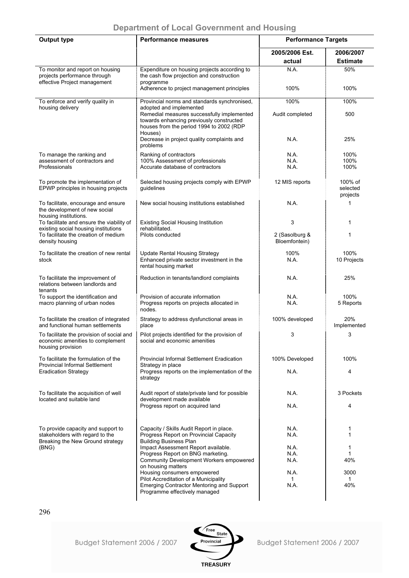| <b>Output type</b>                                                                                         | <b>Performance measures</b>                                                                                                                   | <b>Performance Targets</b>      |                                 |
|------------------------------------------------------------------------------------------------------------|-----------------------------------------------------------------------------------------------------------------------------------------------|---------------------------------|---------------------------------|
|                                                                                                            |                                                                                                                                               | 2005/2006 Est.                  | 2006/2007                       |
| To monitor and report on housing                                                                           | Expenditure on housing projects according to                                                                                                  | actual<br>N.A.                  | <b>Estimate</b><br>50%          |
| projects performance through<br>effective Project management                                               | the cash flow projection and construction<br>programme                                                                                        |                                 |                                 |
|                                                                                                            | Adherence to project management principles                                                                                                    | 100%                            | 100%                            |
| To enforce and verify quality in<br>housing delivery                                                       | Provincial norms and standards synchronised,<br>adopted and implemented                                                                       | 100%                            | 100%                            |
|                                                                                                            | Remedial measures successfully implemented<br>towards enhancing previously constructed<br>houses from the period 1994 to 2002 (RDP<br>Houses) | Audit completed                 | 500                             |
|                                                                                                            | Decrease in project quality complaints and<br>problems                                                                                        | N.A.                            | 25%                             |
| To manage the ranking and                                                                                  | Ranking of contractors                                                                                                                        | N.A.                            | 100%                            |
| assessment of contractors and<br>Professionals                                                             | 100% Assessment of professionals<br>Accurate database of contractors                                                                          | N.A.<br>N.A.                    | 100%<br>100%                    |
|                                                                                                            |                                                                                                                                               |                                 |                                 |
| To promote the implementation of<br>EPWP principles in housing projects                                    | Selected housing projects comply with EPWP<br>guidelines                                                                                      | 12 MIS reports                  | 100% of<br>selected<br>projects |
| To facilitate, encourage and ensure<br>the development of new social                                       | New social housing institutions established                                                                                                   | N.A.                            | 1                               |
| housing institutions.<br>To facilitate and ensure the viability of<br>existing social housing institutions | <b>Existing Social Housing Institution</b><br>rehabilitated.                                                                                  | 3                               | 1                               |
| To facilitate the creation of medium<br>density housing                                                    | Pilots conducted                                                                                                                              | 2 (Sasolburg &<br>Bloemfontein) | 1                               |
| To facilitate the creation of new rental<br>stock                                                          | <b>Update Rental Housing Strategy</b><br>Enhanced private sector investment in the<br>rental housing market                                   | 100%<br>N.A.                    | 100%<br>10 Projects             |
| To facilitate the improvement of<br>relations between landlords and<br>tenants                             | Reduction in tenants/landlord complaints                                                                                                      | N.A.                            | 25%                             |
| To support the identification and<br>macro planning of urban nodes                                         | Provision of accurate information<br>Progress reports on projects allocated in<br>nodes.                                                      | N.A.<br>N.A.                    | 100%<br>5 Reports               |
| To facilitate the creation of integrated<br>and functional human settlements                               | Strategy to address dysfunctional areas in<br>place                                                                                           | 100% developed                  | 20%<br>Implemented              |
| To facilitate the provision of social and<br>economic amenities to complement<br>housing provision         | Pilot projects identified for the provision of<br>social and economic amenities                                                               | 3                               | 3                               |
| To facilitate the formulation of the<br><b>Provincial Informal Settlement</b>                              | Provincial Informal Settlement Eradication<br>Strategy in place                                                                               | 100% Developed                  | 100%                            |
| <b>Eradication Strategy</b>                                                                                | Progress reports on the implementation of the<br>strategy                                                                                     | N.A.                            | 4                               |
| To facilitate the acquisition of well<br>located and suitable land                                         | Audit report of state/private land for possible<br>development made available                                                                 | N.A.                            | 3 Pockets                       |
|                                                                                                            | Progress report on acquired land                                                                                                              | N.A.                            | 4                               |
|                                                                                                            |                                                                                                                                               |                                 |                                 |
| To provide capacity and support to<br>stakeholders with regard to the<br>Breaking the New Ground strategy  | Capacity / Skills Audit Report in place.<br>Progress Report on Provincial Capacity<br><b>Building Business Plan</b>                           | N.A.<br>N.A.                    | 1<br>1                          |
| (BNG)                                                                                                      | Impact Assessment Report available.                                                                                                           | N.A.                            | 1                               |
|                                                                                                            | Progress Report on BNG marketing.<br>Community Development Workers empowered                                                                  | N.A.<br>N.A.                    | 1<br>40%                        |
|                                                                                                            | on housing matters<br>Housing consumers empowered                                                                                             | N.A.                            | 3000                            |
|                                                                                                            | Pilot Accreditation of a Municipality                                                                                                         | 1.                              | 1                               |
|                                                                                                            | <b>Emerging Contractor Mentoring and Support</b><br>Programme effectively managed                                                             | N.A.                            | 40%                             |

296

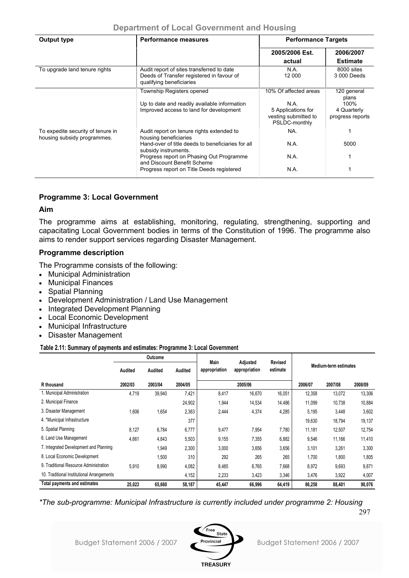|  |  |  | <b>Department of Local Government and Housing</b> |  |  |
|--|--|--|---------------------------------------------------|--|--|
|--|--|--|---------------------------------------------------|--|--|

| Output type<br><b>Performance measures</b>                       |                                                                                                                                                                                                                                                                         | <b>Performance Targets</b>                                                                   |                                                                 |  |  |
|------------------------------------------------------------------|-------------------------------------------------------------------------------------------------------------------------------------------------------------------------------------------------------------------------------------------------------------------------|----------------------------------------------------------------------------------------------|-----------------------------------------------------------------|--|--|
|                                                                  |                                                                                                                                                                                                                                                                         | 2005/2006 Est.<br>actual                                                                     | 2006/2007<br><b>Estimate</b>                                    |  |  |
| To upgrade land tenure rights                                    | Audit report of sites transferred to date<br>Deeds of Transfer registered in favour of<br>qualifying beneficiaries                                                                                                                                                      | N.A.<br>12 000                                                                               | 8000 sites<br>3 000 Deeds                                       |  |  |
|                                                                  | Township Registers opened<br>Up to date and readily available information<br>Improved access to land for development                                                                                                                                                    | 10% Of affected areas<br>N.A.<br>5 Applications for<br>vesting submitted to<br>PSLDC-monthly | 120 general<br>plans<br>100%<br>4 Quarterly<br>progress reports |  |  |
| To expedite security of tenure in<br>housing subsidy programmes. | Audit report on tenure rights extended to<br>housing beneficiaries<br>Hand-over of title deeds to beneficiaries for all<br>subsidy instruments.<br>Progress report on Phasing Out Programme<br>and Discount Benefit Scheme<br>Progress report on Title Deeds registered | NA.<br>N.A.<br>N.A.<br>N.A.                                                                  | 5000                                                            |  |  |

# **Programme 3: Local Government**

# **Aim**

The programme aims at establishing, monitoring, regulating, strengthening, supporting and capacitating Local Government bodies in terms of the Constitution of 1996. The programme also aims to render support services regarding Disaster Management.

# **Programme description**

The Programme consists of the following:

- Municipal Administration
- Municipal Finances
- Spatial Planning
- Development Administration / Land Use Management
- Integrated Development Planning
- Local Economic Development
- Municipal Infrastructure
- Disaster Management

**Table 2.11: Summary of payments and estimates: Programme 3: Local Government**

|                                            |         | Outcome |         |                       |                           |                     |                              |         |         |  |
|--------------------------------------------|---------|---------|---------|-----------------------|---------------------------|---------------------|------------------------------|---------|---------|--|
|                                            | Audited | Audited | Audited | Main<br>appropriation | Adjusted<br>appropriation | Revised<br>estimate | <b>Medium-term estimates</b> |         |         |  |
| R thousand                                 | 2002/03 | 2003/04 | 2004/05 |                       | 2005/06                   |                     | 2006/07                      | 2007/08 | 2008/09 |  |
| 1. Municipal Administration                | 4,719   | 39,940  | 7,421   | 8,417                 | 16,670                    | 16,051              | 12,358                       | 13,072  | 13,306  |  |
| 2. Municipal Finance                       |         |         | 24,902  | 1,944                 | 14,534                    | 14,486              | 11,099                       | 10,738  | 10,884  |  |
| 3. Disaster Management                     | 1,606   | 1,654   | 2,363   | 2,444                 | 4,374                     | 4,285               | 5,195                        | 3,448   | 3,602   |  |
| 4. *Municipal Infrastructure               |         |         | 377     |                       |                           |                     | 19,630                       | 18,794  | 19,137  |  |
| 5. Spatial Planning                        | 8,127   | 6,784   | 6,777   | 9,477                 | 7,954                     | 7,780               | 11,181                       | 12,507  | 12,754  |  |
| 6. Land Use Management                     | 4,661   | 4,843   | 5,503   | 9,155                 | 7,355                     | 6,882               | 9,546                        | 11,166  | 11,410  |  |
| 7. Integrated Development and Planning     |         | 1,949   | 2,300   | 3,000                 | 3,656                     | 3,656               | 3,101                        | 3,261   | 3,300   |  |
| 8. Local Economic Development              |         | 1,500   | 310     | 292                   | 265                       | 265                 | 1,700                        | 1,800   | 1,805   |  |
| 9. Traditional Resource Administration     | 5,910   | 8,990   | 4,082   | 8,485                 | 8,765                     | 7,668               | 8,972                        | 9,693   | 9,871   |  |
| 10. Traditional Institutional Arrangements |         |         | 4,152   | 2,233                 | 3,423                     | 3,346               | 3,476                        | 3,922   | 4,007   |  |
| Total payments and estimates               | 25,023  | 65,660  | 58,187  | 45,447                | 66,996                    | 64,419              | 86,258                       | 88,401  | 90,076  |  |

*\*The sub-programme: Municipal Infrastructure is currently included under programme 2: Housing* 

297

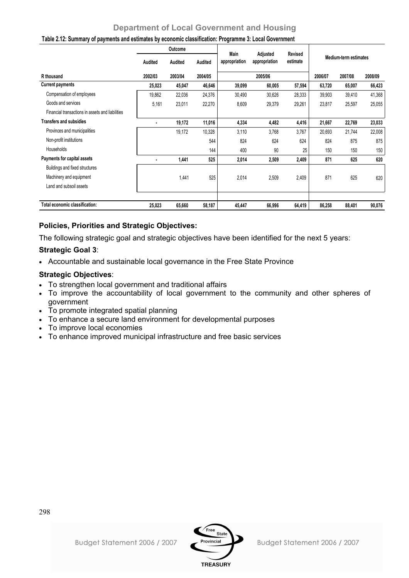|                                                  |                | Outcome |         |                       |                           |                            |                              |         |         |  |
|--------------------------------------------------|----------------|---------|---------|-----------------------|---------------------------|----------------------------|------------------------------|---------|---------|--|
|                                                  | Audited        | Audited | Audited | Main<br>appropriation | Adjusted<br>appropriation | <b>Revised</b><br>estimate | <b>Medium-term estimates</b> |         |         |  |
| R thousand                                       | 2002/03        | 2003/04 | 2004/05 |                       | 2005/06                   |                            | 2006/07                      | 2007/08 | 2008/09 |  |
| <b>Current payments</b>                          | 25,023         | 45,047  | 46,646  | 39,099                | 60,005                    | 57,594                     | 63,720                       | 65,007  | 66,423  |  |
| Compensation of employees                        | 19,862         | 22,036  | 24,376  | 30,490                | 30,626                    | 28,333                     | 39,903                       | 39,410  | 41,368  |  |
| Goods and services                               | 5,161          | 23,011  | 22,270  | 8,609                 | 29,379                    | 29,261                     | 23,817                       | 25,597  | 25,055  |  |
| Financial transactions in assets and liabilities |                |         |         |                       |                           |                            |                              |         |         |  |
| <b>Transfers and subsidies</b>                   | ٠              | 19,172  | 11,016  | 4,334                 | 4,482                     | 4,416                      | 21,667                       | 22,769  | 23,033  |  |
| Provinces and municipalities                     |                | 19,172  | 10,328  | 3,110                 | 3,768                     | 3,767                      | 20,693                       | 21,744  | 22,008  |  |
| Non-profit institutions                          |                |         | 544     | 824                   | 624                       | 624                        | 824                          | 875     | 875     |  |
| Households                                       |                |         | 144     | 400                   | 90                        | 25                         | 150                          | 150     | 150     |  |
| Payments for capital assets                      | $\blacksquare$ | 1,441   | 525     | 2,014                 | 2,509                     | 2,409                      | 871                          | 625     | 620     |  |
| Buildings and fixed structures                   |                |         |         |                       |                           |                            |                              |         |         |  |
| Machinery and equipment                          |                | 1,441   | 525     | 2,014                 | 2,509                     | 2,409                      | 871                          | 625     | 620     |  |
| Land and subsoil assets                          |                |         |         |                       |                           |                            |                              |         |         |  |
|                                                  |                |         |         |                       |                           |                            |                              |         |         |  |
| Total economic classification:                   | 25,023         | 65,660  | 58,187  | 45,447                | 66,996                    | 64,419                     | 86,258                       | 88,401  | 90,076  |  |

### **Table 2.12: Summary of payments and estimates by economic classification: Programme 3: Local Government**

# **Policies, Priorities and Strategic Objectives:**

The following strategic goal and strategic objectives have been identified for the next 5 years:

# **Strategic Goal 3**:

• Accountable and sustainable local governance in the Free State Province

# **Strategic Objectives**:

- To strengthen local government and traditional affairs
- To improve the accountability of local government to the community and other spheres of government
- To promote integrated spatial planning
- To enhance a secure land environment for developmental purposes
- To improve local economies
- To enhance improved municipal infrastructure and free basic services

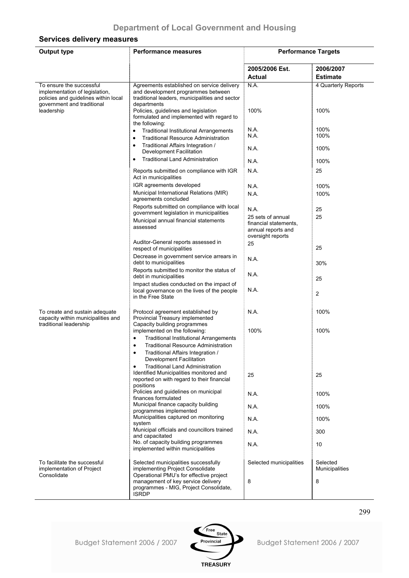# **Services delivery measures**

| <b>Output type</b>                                                                                                               | <b>Performance measures</b>                                                                                                                       | <b>Performance Targets</b>                                                            |                                   |
|----------------------------------------------------------------------------------------------------------------------------------|---------------------------------------------------------------------------------------------------------------------------------------------------|---------------------------------------------------------------------------------------|-----------------------------------|
|                                                                                                                                  |                                                                                                                                                   | 2005/2006 Est.<br><b>Actual</b>                                                       | 2006/2007<br><b>Estimate</b>      |
| To ensure the successful<br>implementation of legislation,<br>policies and guidelines within local<br>government and traditional | Agreements established on service delivery<br>and development programmes between<br>traditional leaders, municipalities and sector<br>departments | N.A.                                                                                  | 4 Quarterly Reports               |
| leadership                                                                                                                       | Policies, guidelines and legislation<br>formulated and implemented with regard to<br>the following:                                               | 100%                                                                                  | 100%                              |
|                                                                                                                                  | <b>Traditional Institutional Arrangements</b><br>$\bullet$                                                                                        | N.A.                                                                                  | 100%                              |
|                                                                                                                                  | <b>Traditional Resource Administration</b><br>٠                                                                                                   | N.A.                                                                                  | 100%                              |
|                                                                                                                                  | Traditional Affairs Integration /<br>Development Facilitation                                                                                     | N.A.                                                                                  | 100%                              |
|                                                                                                                                  | <b>Traditional Land Administration</b>                                                                                                            | N.A.                                                                                  | 100%                              |
|                                                                                                                                  | Reports submitted on compliance with IGR<br>Act in municipalities                                                                                 | N.A.                                                                                  | 25                                |
|                                                                                                                                  | IGR agreements developed                                                                                                                          | N.A.                                                                                  | 100%                              |
|                                                                                                                                  | Municipal International Relations (MIR)<br>agreements concluded                                                                                   | N.A.                                                                                  | 100%                              |
|                                                                                                                                  | Reports submitted on compliance with local                                                                                                        | N.A.                                                                                  | 25                                |
|                                                                                                                                  | government legislation in municipalities<br>Municipal annual financial statements<br>assessed                                                     | 25 sets of annual<br>financial statements.<br>annual reports and<br>oversight reports | 25                                |
|                                                                                                                                  | Auditor-General reports assessed in<br>respect of municipalities                                                                                  | 25                                                                                    | 25                                |
|                                                                                                                                  | Decrease in government service arrears in<br>debt to municipalities                                                                               | N.A.                                                                                  | 30%                               |
|                                                                                                                                  | Reports submitted to monitor the status of                                                                                                        |                                                                                       |                                   |
|                                                                                                                                  | debt in municipalities                                                                                                                            | N.A.                                                                                  | 25                                |
|                                                                                                                                  | Impact studies conducted on the impact of<br>local governance on the lives of the people<br>in the Free State                                     | N.A.                                                                                  | $\overline{2}$                    |
| To create and sustain adequate<br>capacity within municipalities and<br>traditional leadership                                   | Protocol agreement established by<br>Provincial Treasury implemented<br>Capacity building programmes                                              | N.A.                                                                                  | 100%                              |
|                                                                                                                                  | implemented on the following:                                                                                                                     | 100%                                                                                  | 100%                              |
|                                                                                                                                  | $\bullet$<br><b>Traditional Institutional Arrangements</b>                                                                                        |                                                                                       |                                   |
|                                                                                                                                  | Traditional Resource Administration<br>$\bullet$<br>Traditional Affairs Integration /<br>$\bullet$                                                |                                                                                       |                                   |
|                                                                                                                                  | Development Facilitation<br><b>Traditional Land Administration</b>                                                                                |                                                                                       |                                   |
|                                                                                                                                  | $\bullet$<br>Identified Municipalities monitored and<br>reported on with regard to their financial                                                | 25                                                                                    | 25                                |
|                                                                                                                                  | positions<br>Policies and guidelines on municipal<br>finances formulated                                                                          | N.A.                                                                                  | 100%                              |
|                                                                                                                                  | Municipal finance capacity building<br>programmes implemented                                                                                     | N.A.                                                                                  | 100%                              |
|                                                                                                                                  | Municipalities captured on monitoring<br>system                                                                                                   | N.A.                                                                                  | 100%                              |
|                                                                                                                                  | Municipal officials and councillors trained<br>and capacitated                                                                                    | N.A.                                                                                  | 300                               |
|                                                                                                                                  | No. of capacity building programmes<br>implemented within municipalities                                                                          | N.A.                                                                                  | 10                                |
| To facilitate the successful<br>implementation of Project                                                                        | Selected municipalities successfully<br>implementing Project Consolidate                                                                          | Selected municipalities                                                               | Selected<br><b>Municipalities</b> |
| Consolidate                                                                                                                      | Operational PMU's for effective project<br>management of key service delivery<br>programmes - MIG, Project Consolidate,<br><b>ISRDP</b>           | 8                                                                                     | 8                                 |

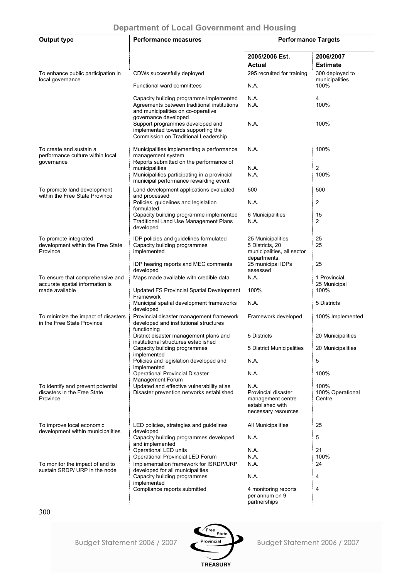| <b>Output type</b>                                                           | <b>Performance measures</b>                                                                                                                          | <b>Performance Targets</b>                                                                  |                                    |  |  |
|------------------------------------------------------------------------------|------------------------------------------------------------------------------------------------------------------------------------------------------|---------------------------------------------------------------------------------------------|------------------------------------|--|--|
|                                                                              |                                                                                                                                                      | 2005/2006 Est.<br><b>Actual</b>                                                             | 2006/2007<br><b>Estimate</b>       |  |  |
| To enhance public participation in                                           | CDWs successfully deployed                                                                                                                           | 295 recruited for training                                                                  | 300 deployed to                    |  |  |
| local governance                                                             | Functional ward committees                                                                                                                           | N.A.                                                                                        | municipalities<br>100%             |  |  |
|                                                                              | Capacity building programme implemented<br>Agreements between traditional institutions<br>and municipalities on co-operative<br>governance developed | N.A.<br>N.A.                                                                                | 4<br>100%                          |  |  |
|                                                                              | Support programmes developed and<br>implemented towards supporting the<br>Commission on Traditional Leadership                                       | N.A.                                                                                        | 100%                               |  |  |
| To create and sustain a<br>performance culture within local<br>governance    | Municipalities implementing a performance<br>management system<br>Reports submitted on the performance of<br>municipalities                          | N.A.<br>N.A.                                                                                | 100%<br>2                          |  |  |
|                                                                              | Municipalities participating in a provincial<br>municipal performance rewarding event                                                                | N.A.                                                                                        | 100%                               |  |  |
| To promote land development<br>within the Free State Province                | Land development applications evaluated<br>and processed                                                                                             | 500                                                                                         | 500                                |  |  |
|                                                                              | Policies, guidelines and legislation<br>formulated                                                                                                   | N.A.                                                                                        | 2                                  |  |  |
|                                                                              | Capacity building programme implemented<br><b>Traditional Land Use Management Plans</b><br>developed                                                 | 6 Municipalities<br>N.A.                                                                    | 15<br>2                            |  |  |
| To promote integrated<br>development within the Free State<br>Province       | IDP policies and guidelines formulated<br>Capacity building programmes<br>implemented                                                                | 25 Municipalities<br>5 Districts, 20<br>municipalities, all sector<br>departments.          | 25<br>25                           |  |  |
|                                                                              | IDP hearing reports and MEC comments<br>developed                                                                                                    | 25 municipal IDPs<br>assessed                                                               | 25                                 |  |  |
| To ensure that comprehensive and<br>accurate spatial information is          | Maps made available with credible data                                                                                                               | N.A.                                                                                        | 1 Provincial,<br>25 Municipal      |  |  |
| made available                                                               | Updated FS Provincial Spatial Development<br>Framework                                                                                               | 100%                                                                                        | 100%                               |  |  |
|                                                                              | Municipal spatial development frameworks<br>developed                                                                                                | N.A.                                                                                        | 5 Districts                        |  |  |
| To minimize the impact of disasters<br>in the Free State Province            | Provincial disaster management framework<br>developed and institutional structures<br>functioning                                                    | Framework developed                                                                         | 100% Implemented                   |  |  |
|                                                                              | District disaster management plans and<br>institutional structures established                                                                       | 5 Districts                                                                                 | 20 Municipalities                  |  |  |
|                                                                              | Capacity building programmes<br>implemented                                                                                                          | 5 District Municipalities                                                                   | 20 Municipalities                  |  |  |
|                                                                              | Policies and legislation developed and<br>implemented                                                                                                | N.A.                                                                                        | $\overline{5}$                     |  |  |
|                                                                              | <b>Operational Provincial Disaster</b><br>Management Forum                                                                                           | N.A.                                                                                        | 100%                               |  |  |
| To identify and prevent potential<br>disasters in the Free State<br>Province | Updated and effective vulnerability atlas<br>Disaster prevention networks established                                                                | N.A.<br>Provincial disaster<br>management centre<br>established with<br>necessary resources | 100%<br>100% Operational<br>Centre |  |  |
| To improve local economic<br>development within municipalities               | LED policies, strategies and guidelines<br>developed                                                                                                 | All Municipalities                                                                          | 25                                 |  |  |
|                                                                              | Capacity building programmes developed<br>and implemented                                                                                            | N.A.                                                                                        | 5                                  |  |  |
|                                                                              | Operational LED units<br>Operational Provincial LED Forum                                                                                            | N.A.<br>N.A.                                                                                | 21<br>100%                         |  |  |
| To monitor the impact of and to                                              | Implementation framework for ISRDP/URP                                                                                                               | N.A.                                                                                        | 24                                 |  |  |
| sustain SRDP/ URP in the node                                                | developed for all municipalities<br>Capacity building programmes                                                                                     | N.A.                                                                                        | 4                                  |  |  |
|                                                                              | implemented<br>Compliance reports submitted                                                                                                          | 4 monitoring reports<br>per annum on 9<br>partnerships                                      | 4                                  |  |  |

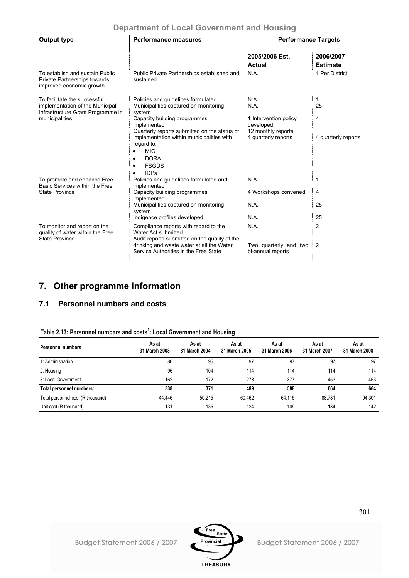| <b>Output type</b>                                                                                   | <b>Performance measures</b>                                                                                   | <b>Performance Targets</b>                               |                              |  |  |
|------------------------------------------------------------------------------------------------------|---------------------------------------------------------------------------------------------------------------|----------------------------------------------------------|------------------------------|--|--|
|                                                                                                      |                                                                                                               | 2005/2006 Est.<br>Actual                                 | 2006/2007<br><b>Estimate</b> |  |  |
| To establish and sustain Public<br><b>Private Partnerships towards</b><br>improved economic growth   | Public Private Partnerships established and<br>sustained                                                      | N.A.                                                     | 1 Per District               |  |  |
| To facilitate the successful<br>implementation of the Municipal<br>Infrastructure Grant Programme in | Policies and quidelines formulated<br>Municipalities captured on monitoring<br>system                         | N.A.<br>N.A.                                             | 1<br>25                      |  |  |
| municipalities                                                                                       | Capacity building programmes<br>implemented<br>Quarterly reports submitted on the status of                   | 1 Intervention policy<br>developed<br>12 monthly reports | 4                            |  |  |
|                                                                                                      | implementation within municipalities with<br>regard to:<br><b>MIG</b><br>$\bullet$                            | 4 quarterly reports                                      | 4 quarterly reports          |  |  |
|                                                                                                      | <b>DORA</b><br>٠<br><b>FSGDS</b><br>$\bullet$                                                                 |                                                          |                              |  |  |
| To promote and enhance Free<br>Basic Services within the Free                                        | <b>IDPs</b><br>Policies and guidelines formulated and<br>implemented                                          | N.A.                                                     | 1                            |  |  |
| <b>State Province</b>                                                                                | Capacity building programmes<br>implemented                                                                   | 4 Workshops convened                                     | 4                            |  |  |
|                                                                                                      | Municipalities captured on monitoring<br>system                                                               | N.A.                                                     | 25                           |  |  |
|                                                                                                      | Indigence profiles developed                                                                                  | N.A.                                                     | 25                           |  |  |
| To monitor and report on the<br>quality of water within the Free<br><b>State Province</b>            | Compliance reports with regard to the<br>Water Act submitted<br>Audit reports submitted on the quality of the | N.A.                                                     | $\overline{c}$               |  |  |
|                                                                                                      | drinking and waste water at all the Water<br>Service Authorities in the Free State                            | Two quarterly and two<br>bi-annual reports               | $\frac{1}{2}$                |  |  |

# **7. Other programme information**

# **7.1 Personnel numbers and costs**

| Table 2.13: Personnel numbers and costs <sup>1</sup> : Local Government and Housing |  |
|-------------------------------------------------------------------------------------|--|
|-------------------------------------------------------------------------------------|--|

| <b>Personnel numbers</b>          | As at<br>31 March 2003 | As at<br>31 March 2004 | As at<br>31 March 2005 | As at<br>31 March 2006 | As at<br>31 March 2007 | As at<br>31 March 2008 |
|-----------------------------------|------------------------|------------------------|------------------------|------------------------|------------------------|------------------------|
| 1: Administration                 | 80                     | 95                     | 97                     | 97                     | 97                     | 97                     |
| 2: Housing                        | 96                     | 104                    | 114                    | 114                    | 114                    | 114                    |
| 3: Local Government               | 162                    | 172                    | 278                    | 377                    | 453                    | 453                    |
| Total personnel numbers:          | 338                    | 371                    | 489                    | 588                    | 664                    | 664                    |
| Total personnel cost (R thousand) | 44.446                 | 50.215                 | 60.462                 | 64.115                 | 88.781                 | 94,301                 |
| Unit cost (R thousand)            | 131                    | 135                    | 124                    | 109                    | 134                    | 142                    |

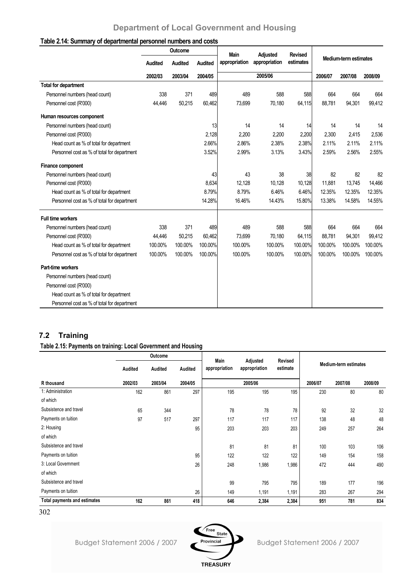## **Table 2.14: Summary of departmental personnel numbers and costs**

|                                             | Outcome |         | <b>Main</b><br>Adjusted |               | <b>Revised</b> |           |                       |         |         |
|---------------------------------------------|---------|---------|-------------------------|---------------|----------------|-----------|-----------------------|---------|---------|
|                                             | Audited | Audited | Audited                 | appropriation | appropriation  | estimates | Medium-term estimates |         |         |
|                                             | 2002/03 | 2003/04 | 2004/05                 |               | 2005/06        |           | 2006/07               | 2007/08 | 2008/09 |
| Total for department                        |         |         |                         |               |                |           |                       |         |         |
| Personnel numbers (head count)              | 338     | 371     | 489                     | 489           | 588            | 588       | 664                   | 664     | 664     |
| Personnel cost (R'000)                      | 44,446  | 50,215  | 60,462                  | 73,699        | 70,180         | 64,115    | 88,781                | 94,301  | 99,412  |
| Human resources component                   |         |         |                         |               |                |           |                       |         |         |
| Personnel numbers (head count)              |         |         | 13                      | 14            | 14             | 14        | 14                    | 14      | 14      |
| Personnel cost (R'000)                      |         |         | 2,128                   | 2,200         | 2,200          | 2,200     | 2,300                 | 2,415   | 2,536   |
| Head count as % of total for department     |         |         | 2.66%                   | 2.86%         | 2.38%          | 2.38%     | 2.11%                 | 2.11%   | 2.11%   |
| Personnel cost as % of total for department |         |         | 3.52%                   | 2.99%         | 3.13%          | 3.43%     | 2.59%                 | 2.56%   | 2.55%   |
| Finance component                           |         |         |                         |               |                |           |                       |         |         |
| Personnel numbers (head count)              |         |         | 43                      | 43            | 38             | 38        | 82                    | 82      | 82      |
| Personnel cost (R'000)                      |         |         | 8,634                   | 12,128        | 10,128         | 10,128    | 11,881                | 13,745  | 14,466  |
| Head count as % of total for department     |         |         | 8.79%                   | 8.79%         | 6.46%          | 6.46%     | 12.35%                | 12.35%  | 12.35%  |
| Personnel cost as % of total for department |         |         | 14.28%                  | 16.46%        | 14.43%         | 15.80%    | 13.38%                | 14.58%  | 14.55%  |
| <b>Full time workers</b>                    |         |         |                         |               |                |           |                       |         |         |
| Personnel numbers (head count)              | 338     | 371     | 489                     | 489           | 588            | 588       | 664                   | 664     | 664     |
| Personnel cost (R'000)                      | 44,446  | 50,215  | 60,462                  | 73,699        | 70,180         | 64,115    | 88.781                | 94,301  | 99,412  |
| Head count as % of total for department     | 100.00% | 100.00% | 100.00%                 | 100.00%       | 100.00%        | 100.00%   | 100.00%               | 100.00% | 100.00% |
| Personnel cost as % of total for department | 100.00% | 100.00% | 100.00%                 | 100.00%       | 100.00%        | 100.00%   | 100.00%               | 100.00% | 100.00% |
| Part-time workers                           |         |         |                         |               |                |           |                       |         |         |
| Personnel numbers (head count)              |         |         |                         |               |                |           |                       |         |         |
| Personnel cost (R'000)                      |         |         |                         |               |                |           |                       |         |         |
| Head count as % of total for department     |         |         |                         |               |                |           |                       |         |         |
| Personnel cost as % of total for department |         |         |                         |               |                |           |                       |         |         |

# **7.2 Training**

# **Table 2.15: Payments on training: Local Government and Housing**

|                                     |         | Outcome |                | Main          |                           | Revised  |         |                       |         |
|-------------------------------------|---------|---------|----------------|---------------|---------------------------|----------|---------|-----------------------|---------|
|                                     | Audited | Audited | <b>Audited</b> | appropriation | Adjusted<br>appropriation | estimate |         | Medium-term estimates |         |
| R thousand                          | 2002/03 | 2003/04 | 2004/05        |               | 2005/06                   |          | 2006/07 | 2007/08               | 2008/09 |
| 1: Administration                   | 162     | 861     | 297            | 195           | 195                       | 195      | 230     | 80                    | 80      |
| of which                            |         |         |                |               |                           |          |         |                       |         |
| Subsistence and travel              | 65      | 344     |                | 78            | 78                        | 78       | 92      | 32                    | 32      |
| Payments on tuition                 | 97      | 517     | 297            | 117           | 117                       | 117      | 138     | 48                    | 48      |
| 2: Housing                          |         |         | 95             | 203           | 203                       | 203      | 249     | 257                   | 264     |
| of which                            |         |         |                |               |                           |          |         |                       |         |
| Subsistence and travel              |         |         |                | 81            | 81                        | 81       | 100     | 103                   | 106     |
| Payments on tuition                 |         |         | 95             | 122           | 122                       | 122      | 149     | 154                   | 158     |
| 3: Local Government                 |         |         | 26             | 248           | 1,986                     | 1,986    | 472     | 444                   | 490     |
| of which                            |         |         |                |               |                           |          |         |                       |         |
| Subsistence and travel              |         |         |                | 99            | 795                       | 795      | 189     | 177                   | 196     |
| Payments on tuition                 |         |         | 26             | 149           | 1,191                     | 1,191    | 283     | 267                   | 294     |
| <b>Total payments and estimates</b> | 162     | 861     | 418            | 646           | 2,384                     | 2,384    | 951     | 781                   | 834     |

<sup>302</sup>

Budget Statement 2006 / 2007

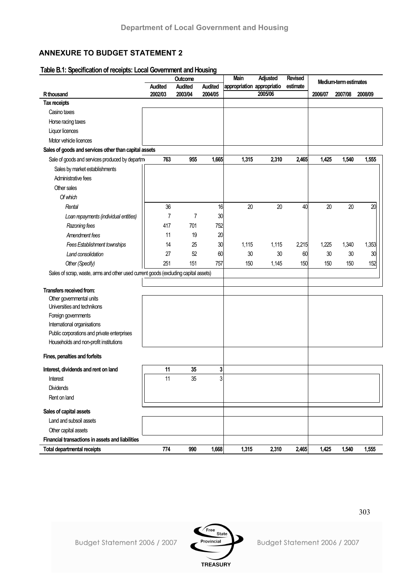# **ANNEXURE TO BUDGET STATEMENT 2**

### **Table B.1: Specification of receipts: Local Government and Housing**

|                                                                                     |                | Outcome        |              | Main                       | Adjusted | <b>Revised</b> |         | Medium-term estimates |         |
|-------------------------------------------------------------------------------------|----------------|----------------|--------------|----------------------------|----------|----------------|---------|-----------------------|---------|
|                                                                                     | <b>Audited</b> | <b>Audited</b> | Audited      | appropriation appropriatio |          | estimate       |         |                       |         |
| R thousand                                                                          | 2002/03        | 2003/04        | 2004/05      |                            | 2005/06  |                | 2006/07 | 2007/08               | 2008/09 |
| Tax receipts                                                                        |                |                |              |                            |          |                |         |                       |         |
| Casino taxes                                                                        |                |                |              |                            |          |                |         |                       |         |
| Horse racing taxes                                                                  |                |                |              |                            |          |                |         |                       |         |
| Liquor licences                                                                     |                |                |              |                            |          |                |         |                       |         |
| Motor vehicle licences                                                              |                |                |              |                            |          |                |         |                       |         |
| Sales of goods and services other than capital assets                               |                |                |              |                            |          |                |         |                       |         |
| Sale of goods and services produced by departm                                      | 763            | 955            | 1,665        | 1,315                      | 2,310    | 2,465          | 1,425   | 1,540                 | 1,555   |
| Sales by market establishments                                                      |                |                |              |                            |          |                |         |                       |         |
| Administrative fees                                                                 |                |                |              |                            |          |                |         |                       |         |
| Other sales                                                                         |                |                |              |                            |          |                |         |                       |         |
| Of which                                                                            |                |                |              |                            |          |                |         |                       |         |
| Rental                                                                              | 36             |                | 16           | 20                         | 20       | 40             | 20      | 20                    | 20      |
| Loan repayments (individual entities)                                               | $\overline{7}$ | 7              | 30           |                            |          |                |         |                       |         |
| Razoning fees                                                                       | 417            | 701            | 752          |                            |          |                |         |                       |         |
| Amendment fees                                                                      | 11             | 19             | 20           |                            |          |                |         |                       |         |
| Fees Establishment townships                                                        | 14             | 25             | 30           | 1,115                      | 1,115    | 2,215          | 1,225   | 1,340                 | 1,353   |
| Land consolidation                                                                  | 27             | 52             | 60           | 30                         | 30       | 60             | 30      | 30                    | 30      |
| Other (Specify)                                                                     | 251            | 151            | 757          | 150                        | 1,145    | 150            | 150     | 150                   | 152     |
| Sales of scrap, waste, arms and other used current goods (excluding capital assets) |                |                |              |                            |          |                |         |                       |         |
|                                                                                     |                |                |              |                            |          |                |         |                       |         |
| Transfers received from:                                                            |                |                |              |                            |          |                |         |                       |         |
| Other governmental units                                                            |                |                |              |                            |          |                |         |                       |         |
| Universities and technikons                                                         |                |                |              |                            |          |                |         |                       |         |
| Foreign governments                                                                 |                |                |              |                            |          |                |         |                       |         |
| International organisations                                                         |                |                |              |                            |          |                |         |                       |         |
| Public corporations and private enterprises                                         |                |                |              |                            |          |                |         |                       |         |
| Households and non-profit institutions                                              |                |                |              |                            |          |                |         |                       |         |
| Fines, penalties and forfeits                                                       |                |                |              |                            |          |                |         |                       |         |
|                                                                                     |                |                |              |                            |          |                |         |                       |         |
| Interest, dividends and rent on land                                                | 11             | 35             | 3            |                            |          |                |         |                       |         |
| Interest                                                                            | 11             | 35             | $\mathbf{3}$ |                            |          |                |         |                       |         |
| <b>Dividends</b>                                                                    |                |                |              |                            |          |                |         |                       |         |
| Rent on land                                                                        |                |                |              |                            |          |                |         |                       |         |
| Sales of capital assets                                                             |                |                |              |                            |          |                |         |                       |         |
| Land and subsoil assets                                                             |                |                |              |                            |          |                |         |                       |         |
| Other capital assets                                                                |                |                |              |                            |          |                |         |                       |         |
| Financial transactions in assets and liabilities                                    |                |                |              |                            |          |                |         |                       |         |
| <b>Total departmental receipts</b>                                                  | 774            | 990            | 1,668        | 1,315                      | 2,310    | 2,465          | 1,425   | 1,540                 | 1,555   |



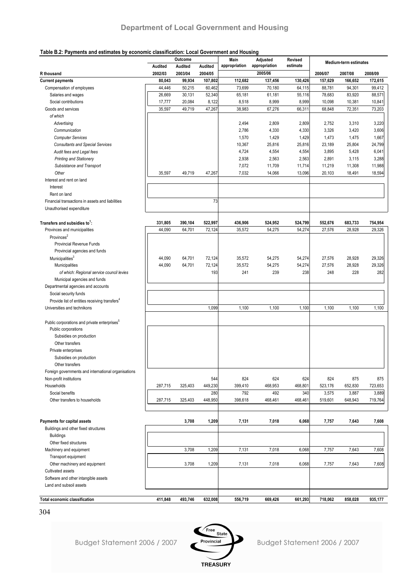#### **Table B.2: Payments and estimates by economic classification: Local Government and Housing**

|                                                           |                    | Outcome            |                    | Main<br>appropriation | Adjusted<br>appropriation | <b>Revised</b><br>estimate |         | <b>Medium-term estimates</b> |         |
|-----------------------------------------------------------|--------------------|--------------------|--------------------|-----------------------|---------------------------|----------------------------|---------|------------------------------|---------|
| R thousand                                                | Audited<br>2002/03 | Audited<br>2003/04 | Audited<br>2004/05 |                       | 2005/06                   |                            | 2006/07 | 2007/08                      | 2008/09 |
| <b>Current payments</b>                                   | 80,043             | 99,934             | 107,802            | 112,682               | 137,456                   | 130,426                    | 157,629 | 166,652                      | 172,615 |
| Compensation of employees                                 | 44,446             | 50,215             | 60,462             | 73,699                | 70,180                    | 64,115                     | 88,781  | 94,301                       | 99,412  |
| Salaries and wages                                        | 26,669             | 30,131             | 52,340             | 65,181                | 61,181                    | 55,116                     | 78,683  | 83,920                       | 88,571  |
| Social contributions                                      | 17,777             | 20,084             | 8,122              | 8,518                 | 8,999                     | 8,999                      | 10,098  | 10,381                       | 10,841  |
| Goods and services                                        | 35,597             | 49,719             | 47,267             | 38,983                | 67,276                    | 66,311                     | 68,848  | 72,351                       | 73,203  |
| of which                                                  |                    |                    |                    |                       |                           |                            |         |                              |         |
| Advertising                                               |                    |                    |                    | 2,494                 | 2,809                     | 2,809                      | 2,752   | 3,310                        | 3,220   |
| Communication                                             |                    |                    |                    | 2,786                 | 4,330                     | 4,330                      | 3,326   | 3,420                        | 3,606   |
| <b>Computer Services</b>                                  |                    |                    |                    | 1,570                 | 1,429                     | 1,429                      | 1,473   | 1,475                        | 1,667   |
| <b>Consultants and Special Services</b>                   |                    |                    |                    | 10,367                | 25,816                    | 25,816                     | 23,189  | 25,804                       | 24,799  |
| Audit fees and Legal fees                                 |                    |                    |                    | 4,724                 | 4,554                     | 4,554                      | 3,895   | 5,428                        | 6,041   |
| <b>Printing and Stationery</b>                            |                    |                    |                    | 2,938                 | 2,563                     | 2,563                      | 2,891   | 3,115                        | 3,288   |
| Subsistance and Transport                                 |                    |                    |                    | 7,072                 | 11,709                    | 11,714                     | 11,219  | 11,308                       | 11,988  |
| Other                                                     | 35,597             | 49,719             | 47,267             | 7,032                 | 14,066                    | 13,096                     | 20,103  | 18,491                       | 18,594  |
| Interest and rent on land                                 |                    |                    |                    |                       |                           |                            |         |                              |         |
| Interest                                                  |                    |                    |                    |                       |                           |                            |         |                              |         |
| Rent on land                                              |                    |                    |                    |                       |                           |                            |         |                              |         |
| Financial transactions in assets and liabilities          |                    |                    | 73                 |                       |                           |                            |         |                              |         |
| Unauthorised expenditure                                  |                    |                    |                    |                       |                           |                            |         |                              |         |
| Transfers and subsidies to:                               | 331,805            | 390,104            | 522,997            | 436,906               | 524,952                   | 524,799                    | 552,676 | 683,733                      | 754,954 |
| Provinces and municipalities                              | 44,090             | 64,701             | 72,124             | 35,572                | 54,275                    | 54,274                     | 27,576  | 28,928                       | 29,326  |
| Provinces <sup>2</sup>                                    |                    |                    |                    |                       |                           |                            |         |                              |         |
| Provincial Revenue Funds                                  |                    |                    |                    |                       |                           |                            |         |                              |         |
| Provincial agencies and funds                             |                    |                    |                    |                       |                           |                            |         |                              |         |
| Municipalities <sup>3</sup>                               | 44,090             | 64,701             | 72,124             | 35,572                | 54,275                    | 54,274                     | 27,576  | 28,928                       | 29,326  |
| Municipalities                                            | 44,090             | 64,701             | 72,124             | 35,572                | 54,275                    | 54,274                     | 27,576  | 28,928                       | 29,326  |
| of which: Regional service council levies                 |                    |                    | 193                | 241                   | 239                       | 238                        | 248     | 228                          | 282     |
| Municipal agencies and funds                              |                    |                    |                    |                       |                           |                            |         |                              |         |
| Departmental agencies and accounts                        |                    |                    |                    |                       |                           |                            |         |                              |         |
| Social security funds                                     |                    |                    |                    |                       |                           |                            |         |                              |         |
| Provide list of entities receiving transfers <sup>4</sup> |                    |                    |                    |                       |                           |                            |         |                              |         |
| Universities and technikons                               |                    |                    | 1,099              | 1,100                 | 1,100                     | 1,100                      | 1,100   | 1,100                        | 1,100   |
|                                                           |                    |                    |                    |                       |                           |                            |         |                              |         |
| Public corporations and private enterprises <sup>3</sup>  |                    |                    |                    |                       |                           |                            |         |                              |         |
| Public corporations                                       |                    |                    |                    |                       |                           |                            |         |                              |         |
| Subsidies on production                                   |                    |                    |                    |                       |                           |                            |         |                              |         |
| Other transfers                                           |                    |                    |                    |                       |                           |                            |         |                              |         |
| Private enterprises                                       |                    |                    |                    |                       |                           |                            |         |                              |         |
| Subsidies on production                                   |                    |                    |                    |                       |                           |                            |         |                              |         |
| Other transfers                                           |                    |                    |                    |                       |                           |                            |         |                              |         |
| Foreign governments and international organisations       |                    |                    |                    |                       |                           |                            |         |                              |         |
| Non-profit institutions                                   |                    |                    | 544                | 824                   | 624                       | 624                        | 824     | 875                          | 875     |
| Households                                                | 287,715            | 325,403            | 449,230            | 399,410               | 468,953                   | 468,801                    | 523,176 | 652,830                      | 723,653 |
| Social benefits                                           |                    |                    | 280                | 792                   | 492                       | 340                        | 3,575   | 3,887                        | 3,889   |
| Other transfers to households                             | 287,715            | 325,403            | 448,950            | 398,618               | 468,461                   | 468,461                    | 519,601 | 648,943                      | 719,764 |
|                                                           |                    |                    |                    |                       |                           |                            |         |                              |         |
| Payments for capital assets                               |                    | 3,708              | 1,209              | 7,131                 | 7,018                     | 6,068                      | 7,757   | 7,643                        | 7,608   |
| Buildings and other fixed structures                      |                    |                    |                    |                       |                           |                            |         |                              |         |
| <b>Buildings</b>                                          |                    |                    |                    |                       |                           |                            |         |                              |         |
| Other fixed structures                                    |                    |                    |                    |                       |                           |                            |         |                              |         |
| Machinery and equipment                                   |                    | 3,708              | 1,209              | 7,131                 | 7,018                     | 6,068                      | 7,757   | 7,643                        | 7,608   |
| Transport equipment                                       |                    |                    |                    |                       |                           |                            |         |                              |         |
| Other machinery and equipment                             |                    | 3,708              | 1,209              | 7,131                 | 7,018                     | 6,068                      | 7,757   | 7,643                        | 7,608   |
| Cultivated assets                                         |                    |                    |                    |                       |                           |                            |         |                              |         |
| Software and other intangible assets                      |                    |                    |                    |                       |                           |                            |         |                              |         |
| Land and subsoil assets                                   |                    |                    |                    |                       |                           |                            |         |                              |         |
|                                                           |                    |                    |                    |                       |                           |                            |         |                              |         |
| Total economic classification                             | 411,848            | 493,746            | 632,008            | 556,719               | 669,426                   | 661,293                    | 718,062 | 858,028                      | 935,177 |

304

Budget Statement 2006 / 2007

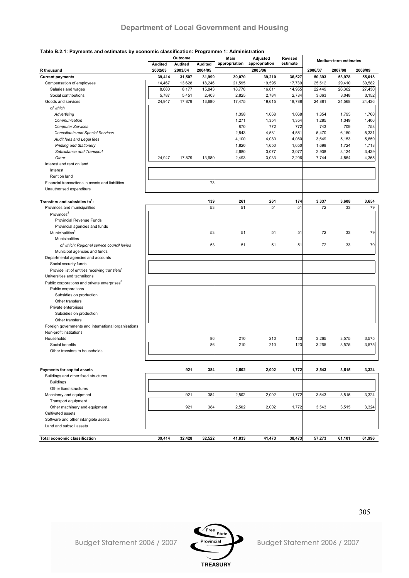#### **Table B.2.1: Payments and estimates by economic classification: Programme 1: Administration**

| <b>Medium-term estimates</b><br>appropriation<br>appropriation<br>estimate<br>Audited<br>Audited<br>Audited<br>2005/06<br>2002/03<br>2003/04<br>2007/08<br>R thousand<br>2004/05<br>2006/07<br>2008/09<br><b>Current payments</b><br>39,414<br>31,507<br>31,999<br>39,070<br>39,210<br>36,527<br>50,393<br>53,978<br>55,018<br>14,467<br>13,628<br>18,246<br>21,595<br>19,595<br>17,739<br>29,410<br>Compensation of employees<br>25,512<br>30,582<br>15,843<br>18,770<br>22,449<br>26,362<br>27,430<br>Salaries and wages<br>8,680<br>8,177<br>16,811<br>14,955<br>2,403<br>2,825<br>2,784<br>3,048<br>Social contributions<br>5,787<br>5,451<br>2,784<br>3,063<br>3,152<br>24,947<br>17,879<br>13,680<br>17,475<br>19,615<br>18,788<br>24,568<br>24,436<br>Goods and services<br>24,881<br>of which<br>Advertising<br>1,398<br>1,068<br>1,068<br>1,354<br>1,795<br>1,760<br>1,271<br>1,354<br>1,285<br>1,349<br>Communication<br>1,354<br>1,406<br><b>Computer Services</b><br>870<br>772<br>772<br>743<br>709<br>758<br>2,843<br>4,581<br>4,581<br>5,470<br>6,150<br>5,331<br><b>Consultants and Special Services</b><br>4,080<br>4,080<br>5,659<br>4,100<br>3,649<br>5,153<br>Audit fees and Legal fees<br>1,820<br>1,650<br>1,650<br>1,698<br>1,724<br><b>Printing and Stationery</b><br>1,718<br>2,680<br>3,077<br>3,077<br>2,938<br>3,124<br>3,439<br>Subsistance and Transport<br>Other<br>24,947<br>17,879<br>13,680<br>2,493<br>3,033<br>2,206<br>4,564<br>4,365<br>7,744<br>Interest and rent on land<br>Interest<br>Rent on land<br>73<br>Financial transactions in assets and liabilities<br>Unauthorised expenditure<br>Transfers and subsidies to <sup>1</sup> :<br>139<br>261<br>261<br>174<br>3,337<br>3,608<br>3,654<br>53<br>51<br>Provinces and municipalities<br>51<br>51<br>72<br>33<br>79<br>Provinces <sup>2</sup><br>Provincial Revenue Funds<br>Provincial agencies and funds<br>Municipalities <sup>3</sup><br>33<br>53<br>51<br>51<br>51<br>72<br>79<br>Municipalities<br>53<br>51<br>51<br>51<br>72<br>33<br>79<br>of which: Regional service council levies<br>Municipal agencies and funds<br>Departmental agencies and accounts<br>Social security funds<br>Provide list of entities receiving transfers <sup>4</sup><br>Universities and technikons<br>Public corporations and private enterprises <sup>5</sup><br>Public corporations<br>Subsidies on production<br>Other transfers<br>Private enterprises<br>Subsidies on production<br>Other transfers<br>Foreign governments and international organisations<br>Non-profit institutions<br>Households<br>86<br>210<br>210<br>123<br>3,265<br>3,575<br>3,575<br>86<br>210<br>123<br>210<br>3,265<br>3,575<br>3,575<br>Social benefits<br>Other transfers to households<br>Payments for capital assets<br>921<br>384<br>2,502<br>2,002<br>1,772<br>3,543<br>3,515<br>3,324<br>Buildings and other fixed structures<br><b>Buildings</b><br>Other fixed structures<br>921<br>384<br>Machinery and equipment<br>2,502<br>2,002<br>1,772<br>3,543<br>3,515<br>3,324<br>Transport equipment<br>Other machinery and equipment<br>921<br>384<br>2,502<br>3,324<br>2,002<br>1,772<br>3,543<br>3,515<br>Cultivated assets<br>Software and other intangible assets<br>Land and subsoil assets<br>39,414<br>32,428<br>32,522<br>41,833<br>41,473<br>38,473<br>57,273<br>61,101<br>61,996<br><b>Total economic classification</b> | rable D.Z.T. I ayments and estimates by economic classification. I rogramme T. Administration | Outcome | Main | Adjusted | Revised |  |  |
|----------------------------------------------------------------------------------------------------------------------------------------------------------------------------------------------------------------------------------------------------------------------------------------------------------------------------------------------------------------------------------------------------------------------------------------------------------------------------------------------------------------------------------------------------------------------------------------------------------------------------------------------------------------------------------------------------------------------------------------------------------------------------------------------------------------------------------------------------------------------------------------------------------------------------------------------------------------------------------------------------------------------------------------------------------------------------------------------------------------------------------------------------------------------------------------------------------------------------------------------------------------------------------------------------------------------------------------------------------------------------------------------------------------------------------------------------------------------------------------------------------------------------------------------------------------------------------------------------------------------------------------------------------------------------------------------------------------------------------------------------------------------------------------------------------------------------------------------------------------------------------------------------------------------------------------------------------------------------------------------------------------------------------------------------------------------------------------------------------------------------------------------------------------------------------------------------------------------------------------------------------------------------------------------------------------------------------------------------------------------------------------------------------------------------------------------------------------------------------------------------------------------------------------------------------------------------------------------------------------------------------------------------------------------------------------------------------------------------------------------------------------------------------------------------------------------------------------------------------------------------------------------------------------------------------------------------------------------------------------------------------------------------------------------------------------------------------------------------------------------------------------------------------------------------------------------------------------------------------------------------------------------------------------------------------------------------------------------------------------------------------------------------------|-----------------------------------------------------------------------------------------------|---------|------|----------|---------|--|--|
|                                                                                                                                                                                                                                                                                                                                                                                                                                                                                                                                                                                                                                                                                                                                                                                                                                                                                                                                                                                                                                                                                                                                                                                                                                                                                                                                                                                                                                                                                                                                                                                                                                                                                                                                                                                                                                                                                                                                                                                                                                                                                                                                                                                                                                                                                                                                                                                                                                                                                                                                                                                                                                                                                                                                                                                                                                                                                                                                                                                                                                                                                                                                                                                                                                                                                                                                                                                                          |                                                                                               |         |      |          |         |  |  |
|                                                                                                                                                                                                                                                                                                                                                                                                                                                                                                                                                                                                                                                                                                                                                                                                                                                                                                                                                                                                                                                                                                                                                                                                                                                                                                                                                                                                                                                                                                                                                                                                                                                                                                                                                                                                                                                                                                                                                                                                                                                                                                                                                                                                                                                                                                                                                                                                                                                                                                                                                                                                                                                                                                                                                                                                                                                                                                                                                                                                                                                                                                                                                                                                                                                                                                                                                                                                          |                                                                                               |         |      |          |         |  |  |
|                                                                                                                                                                                                                                                                                                                                                                                                                                                                                                                                                                                                                                                                                                                                                                                                                                                                                                                                                                                                                                                                                                                                                                                                                                                                                                                                                                                                                                                                                                                                                                                                                                                                                                                                                                                                                                                                                                                                                                                                                                                                                                                                                                                                                                                                                                                                                                                                                                                                                                                                                                                                                                                                                                                                                                                                                                                                                                                                                                                                                                                                                                                                                                                                                                                                                                                                                                                                          |                                                                                               |         |      |          |         |  |  |
|                                                                                                                                                                                                                                                                                                                                                                                                                                                                                                                                                                                                                                                                                                                                                                                                                                                                                                                                                                                                                                                                                                                                                                                                                                                                                                                                                                                                                                                                                                                                                                                                                                                                                                                                                                                                                                                                                                                                                                                                                                                                                                                                                                                                                                                                                                                                                                                                                                                                                                                                                                                                                                                                                                                                                                                                                                                                                                                                                                                                                                                                                                                                                                                                                                                                                                                                                                                                          |                                                                                               |         |      |          |         |  |  |
|                                                                                                                                                                                                                                                                                                                                                                                                                                                                                                                                                                                                                                                                                                                                                                                                                                                                                                                                                                                                                                                                                                                                                                                                                                                                                                                                                                                                                                                                                                                                                                                                                                                                                                                                                                                                                                                                                                                                                                                                                                                                                                                                                                                                                                                                                                                                                                                                                                                                                                                                                                                                                                                                                                                                                                                                                                                                                                                                                                                                                                                                                                                                                                                                                                                                                                                                                                                                          |                                                                                               |         |      |          |         |  |  |
|                                                                                                                                                                                                                                                                                                                                                                                                                                                                                                                                                                                                                                                                                                                                                                                                                                                                                                                                                                                                                                                                                                                                                                                                                                                                                                                                                                                                                                                                                                                                                                                                                                                                                                                                                                                                                                                                                                                                                                                                                                                                                                                                                                                                                                                                                                                                                                                                                                                                                                                                                                                                                                                                                                                                                                                                                                                                                                                                                                                                                                                                                                                                                                                                                                                                                                                                                                                                          |                                                                                               |         |      |          |         |  |  |
|                                                                                                                                                                                                                                                                                                                                                                                                                                                                                                                                                                                                                                                                                                                                                                                                                                                                                                                                                                                                                                                                                                                                                                                                                                                                                                                                                                                                                                                                                                                                                                                                                                                                                                                                                                                                                                                                                                                                                                                                                                                                                                                                                                                                                                                                                                                                                                                                                                                                                                                                                                                                                                                                                                                                                                                                                                                                                                                                                                                                                                                                                                                                                                                                                                                                                                                                                                                                          |                                                                                               |         |      |          |         |  |  |
|                                                                                                                                                                                                                                                                                                                                                                                                                                                                                                                                                                                                                                                                                                                                                                                                                                                                                                                                                                                                                                                                                                                                                                                                                                                                                                                                                                                                                                                                                                                                                                                                                                                                                                                                                                                                                                                                                                                                                                                                                                                                                                                                                                                                                                                                                                                                                                                                                                                                                                                                                                                                                                                                                                                                                                                                                                                                                                                                                                                                                                                                                                                                                                                                                                                                                                                                                                                                          |                                                                                               |         |      |          |         |  |  |
|                                                                                                                                                                                                                                                                                                                                                                                                                                                                                                                                                                                                                                                                                                                                                                                                                                                                                                                                                                                                                                                                                                                                                                                                                                                                                                                                                                                                                                                                                                                                                                                                                                                                                                                                                                                                                                                                                                                                                                                                                                                                                                                                                                                                                                                                                                                                                                                                                                                                                                                                                                                                                                                                                                                                                                                                                                                                                                                                                                                                                                                                                                                                                                                                                                                                                                                                                                                                          |                                                                                               |         |      |          |         |  |  |
|                                                                                                                                                                                                                                                                                                                                                                                                                                                                                                                                                                                                                                                                                                                                                                                                                                                                                                                                                                                                                                                                                                                                                                                                                                                                                                                                                                                                                                                                                                                                                                                                                                                                                                                                                                                                                                                                                                                                                                                                                                                                                                                                                                                                                                                                                                                                                                                                                                                                                                                                                                                                                                                                                                                                                                                                                                                                                                                                                                                                                                                                                                                                                                                                                                                                                                                                                                                                          |                                                                                               |         |      |          |         |  |  |
|                                                                                                                                                                                                                                                                                                                                                                                                                                                                                                                                                                                                                                                                                                                                                                                                                                                                                                                                                                                                                                                                                                                                                                                                                                                                                                                                                                                                                                                                                                                                                                                                                                                                                                                                                                                                                                                                                                                                                                                                                                                                                                                                                                                                                                                                                                                                                                                                                                                                                                                                                                                                                                                                                                                                                                                                                                                                                                                                                                                                                                                                                                                                                                                                                                                                                                                                                                                                          |                                                                                               |         |      |          |         |  |  |
|                                                                                                                                                                                                                                                                                                                                                                                                                                                                                                                                                                                                                                                                                                                                                                                                                                                                                                                                                                                                                                                                                                                                                                                                                                                                                                                                                                                                                                                                                                                                                                                                                                                                                                                                                                                                                                                                                                                                                                                                                                                                                                                                                                                                                                                                                                                                                                                                                                                                                                                                                                                                                                                                                                                                                                                                                                                                                                                                                                                                                                                                                                                                                                                                                                                                                                                                                                                                          |                                                                                               |         |      |          |         |  |  |
|                                                                                                                                                                                                                                                                                                                                                                                                                                                                                                                                                                                                                                                                                                                                                                                                                                                                                                                                                                                                                                                                                                                                                                                                                                                                                                                                                                                                                                                                                                                                                                                                                                                                                                                                                                                                                                                                                                                                                                                                                                                                                                                                                                                                                                                                                                                                                                                                                                                                                                                                                                                                                                                                                                                                                                                                                                                                                                                                                                                                                                                                                                                                                                                                                                                                                                                                                                                                          |                                                                                               |         |      |          |         |  |  |
|                                                                                                                                                                                                                                                                                                                                                                                                                                                                                                                                                                                                                                                                                                                                                                                                                                                                                                                                                                                                                                                                                                                                                                                                                                                                                                                                                                                                                                                                                                                                                                                                                                                                                                                                                                                                                                                                                                                                                                                                                                                                                                                                                                                                                                                                                                                                                                                                                                                                                                                                                                                                                                                                                                                                                                                                                                                                                                                                                                                                                                                                                                                                                                                                                                                                                                                                                                                                          |                                                                                               |         |      |          |         |  |  |
|                                                                                                                                                                                                                                                                                                                                                                                                                                                                                                                                                                                                                                                                                                                                                                                                                                                                                                                                                                                                                                                                                                                                                                                                                                                                                                                                                                                                                                                                                                                                                                                                                                                                                                                                                                                                                                                                                                                                                                                                                                                                                                                                                                                                                                                                                                                                                                                                                                                                                                                                                                                                                                                                                                                                                                                                                                                                                                                                                                                                                                                                                                                                                                                                                                                                                                                                                                                                          |                                                                                               |         |      |          |         |  |  |
|                                                                                                                                                                                                                                                                                                                                                                                                                                                                                                                                                                                                                                                                                                                                                                                                                                                                                                                                                                                                                                                                                                                                                                                                                                                                                                                                                                                                                                                                                                                                                                                                                                                                                                                                                                                                                                                                                                                                                                                                                                                                                                                                                                                                                                                                                                                                                                                                                                                                                                                                                                                                                                                                                                                                                                                                                                                                                                                                                                                                                                                                                                                                                                                                                                                                                                                                                                                                          |                                                                                               |         |      |          |         |  |  |
|                                                                                                                                                                                                                                                                                                                                                                                                                                                                                                                                                                                                                                                                                                                                                                                                                                                                                                                                                                                                                                                                                                                                                                                                                                                                                                                                                                                                                                                                                                                                                                                                                                                                                                                                                                                                                                                                                                                                                                                                                                                                                                                                                                                                                                                                                                                                                                                                                                                                                                                                                                                                                                                                                                                                                                                                                                                                                                                                                                                                                                                                                                                                                                                                                                                                                                                                                                                                          |                                                                                               |         |      |          |         |  |  |
|                                                                                                                                                                                                                                                                                                                                                                                                                                                                                                                                                                                                                                                                                                                                                                                                                                                                                                                                                                                                                                                                                                                                                                                                                                                                                                                                                                                                                                                                                                                                                                                                                                                                                                                                                                                                                                                                                                                                                                                                                                                                                                                                                                                                                                                                                                                                                                                                                                                                                                                                                                                                                                                                                                                                                                                                                                                                                                                                                                                                                                                                                                                                                                                                                                                                                                                                                                                                          |                                                                                               |         |      |          |         |  |  |
|                                                                                                                                                                                                                                                                                                                                                                                                                                                                                                                                                                                                                                                                                                                                                                                                                                                                                                                                                                                                                                                                                                                                                                                                                                                                                                                                                                                                                                                                                                                                                                                                                                                                                                                                                                                                                                                                                                                                                                                                                                                                                                                                                                                                                                                                                                                                                                                                                                                                                                                                                                                                                                                                                                                                                                                                                                                                                                                                                                                                                                                                                                                                                                                                                                                                                                                                                                                                          |                                                                                               |         |      |          |         |  |  |
|                                                                                                                                                                                                                                                                                                                                                                                                                                                                                                                                                                                                                                                                                                                                                                                                                                                                                                                                                                                                                                                                                                                                                                                                                                                                                                                                                                                                                                                                                                                                                                                                                                                                                                                                                                                                                                                                                                                                                                                                                                                                                                                                                                                                                                                                                                                                                                                                                                                                                                                                                                                                                                                                                                                                                                                                                                                                                                                                                                                                                                                                                                                                                                                                                                                                                                                                                                                                          |                                                                                               |         |      |          |         |  |  |
|                                                                                                                                                                                                                                                                                                                                                                                                                                                                                                                                                                                                                                                                                                                                                                                                                                                                                                                                                                                                                                                                                                                                                                                                                                                                                                                                                                                                                                                                                                                                                                                                                                                                                                                                                                                                                                                                                                                                                                                                                                                                                                                                                                                                                                                                                                                                                                                                                                                                                                                                                                                                                                                                                                                                                                                                                                                                                                                                                                                                                                                                                                                                                                                                                                                                                                                                                                                                          |                                                                                               |         |      |          |         |  |  |
|                                                                                                                                                                                                                                                                                                                                                                                                                                                                                                                                                                                                                                                                                                                                                                                                                                                                                                                                                                                                                                                                                                                                                                                                                                                                                                                                                                                                                                                                                                                                                                                                                                                                                                                                                                                                                                                                                                                                                                                                                                                                                                                                                                                                                                                                                                                                                                                                                                                                                                                                                                                                                                                                                                                                                                                                                                                                                                                                                                                                                                                                                                                                                                                                                                                                                                                                                                                                          |                                                                                               |         |      |          |         |  |  |
|                                                                                                                                                                                                                                                                                                                                                                                                                                                                                                                                                                                                                                                                                                                                                                                                                                                                                                                                                                                                                                                                                                                                                                                                                                                                                                                                                                                                                                                                                                                                                                                                                                                                                                                                                                                                                                                                                                                                                                                                                                                                                                                                                                                                                                                                                                                                                                                                                                                                                                                                                                                                                                                                                                                                                                                                                                                                                                                                                                                                                                                                                                                                                                                                                                                                                                                                                                                                          |                                                                                               |         |      |          |         |  |  |
|                                                                                                                                                                                                                                                                                                                                                                                                                                                                                                                                                                                                                                                                                                                                                                                                                                                                                                                                                                                                                                                                                                                                                                                                                                                                                                                                                                                                                                                                                                                                                                                                                                                                                                                                                                                                                                                                                                                                                                                                                                                                                                                                                                                                                                                                                                                                                                                                                                                                                                                                                                                                                                                                                                                                                                                                                                                                                                                                                                                                                                                                                                                                                                                                                                                                                                                                                                                                          |                                                                                               |         |      |          |         |  |  |
|                                                                                                                                                                                                                                                                                                                                                                                                                                                                                                                                                                                                                                                                                                                                                                                                                                                                                                                                                                                                                                                                                                                                                                                                                                                                                                                                                                                                                                                                                                                                                                                                                                                                                                                                                                                                                                                                                                                                                                                                                                                                                                                                                                                                                                                                                                                                                                                                                                                                                                                                                                                                                                                                                                                                                                                                                                                                                                                                                                                                                                                                                                                                                                                                                                                                                                                                                                                                          |                                                                                               |         |      |          |         |  |  |
|                                                                                                                                                                                                                                                                                                                                                                                                                                                                                                                                                                                                                                                                                                                                                                                                                                                                                                                                                                                                                                                                                                                                                                                                                                                                                                                                                                                                                                                                                                                                                                                                                                                                                                                                                                                                                                                                                                                                                                                                                                                                                                                                                                                                                                                                                                                                                                                                                                                                                                                                                                                                                                                                                                                                                                                                                                                                                                                                                                                                                                                                                                                                                                                                                                                                                                                                                                                                          |                                                                                               |         |      |          |         |  |  |
|                                                                                                                                                                                                                                                                                                                                                                                                                                                                                                                                                                                                                                                                                                                                                                                                                                                                                                                                                                                                                                                                                                                                                                                                                                                                                                                                                                                                                                                                                                                                                                                                                                                                                                                                                                                                                                                                                                                                                                                                                                                                                                                                                                                                                                                                                                                                                                                                                                                                                                                                                                                                                                                                                                                                                                                                                                                                                                                                                                                                                                                                                                                                                                                                                                                                                                                                                                                                          |                                                                                               |         |      |          |         |  |  |
|                                                                                                                                                                                                                                                                                                                                                                                                                                                                                                                                                                                                                                                                                                                                                                                                                                                                                                                                                                                                                                                                                                                                                                                                                                                                                                                                                                                                                                                                                                                                                                                                                                                                                                                                                                                                                                                                                                                                                                                                                                                                                                                                                                                                                                                                                                                                                                                                                                                                                                                                                                                                                                                                                                                                                                                                                                                                                                                                                                                                                                                                                                                                                                                                                                                                                                                                                                                                          |                                                                                               |         |      |          |         |  |  |
|                                                                                                                                                                                                                                                                                                                                                                                                                                                                                                                                                                                                                                                                                                                                                                                                                                                                                                                                                                                                                                                                                                                                                                                                                                                                                                                                                                                                                                                                                                                                                                                                                                                                                                                                                                                                                                                                                                                                                                                                                                                                                                                                                                                                                                                                                                                                                                                                                                                                                                                                                                                                                                                                                                                                                                                                                                                                                                                                                                                                                                                                                                                                                                                                                                                                                                                                                                                                          |                                                                                               |         |      |          |         |  |  |
|                                                                                                                                                                                                                                                                                                                                                                                                                                                                                                                                                                                                                                                                                                                                                                                                                                                                                                                                                                                                                                                                                                                                                                                                                                                                                                                                                                                                                                                                                                                                                                                                                                                                                                                                                                                                                                                                                                                                                                                                                                                                                                                                                                                                                                                                                                                                                                                                                                                                                                                                                                                                                                                                                                                                                                                                                                                                                                                                                                                                                                                                                                                                                                                                                                                                                                                                                                                                          |                                                                                               |         |      |          |         |  |  |
|                                                                                                                                                                                                                                                                                                                                                                                                                                                                                                                                                                                                                                                                                                                                                                                                                                                                                                                                                                                                                                                                                                                                                                                                                                                                                                                                                                                                                                                                                                                                                                                                                                                                                                                                                                                                                                                                                                                                                                                                                                                                                                                                                                                                                                                                                                                                                                                                                                                                                                                                                                                                                                                                                                                                                                                                                                                                                                                                                                                                                                                                                                                                                                                                                                                                                                                                                                                                          |                                                                                               |         |      |          |         |  |  |
|                                                                                                                                                                                                                                                                                                                                                                                                                                                                                                                                                                                                                                                                                                                                                                                                                                                                                                                                                                                                                                                                                                                                                                                                                                                                                                                                                                                                                                                                                                                                                                                                                                                                                                                                                                                                                                                                                                                                                                                                                                                                                                                                                                                                                                                                                                                                                                                                                                                                                                                                                                                                                                                                                                                                                                                                                                                                                                                                                                                                                                                                                                                                                                                                                                                                                                                                                                                                          |                                                                                               |         |      |          |         |  |  |
|                                                                                                                                                                                                                                                                                                                                                                                                                                                                                                                                                                                                                                                                                                                                                                                                                                                                                                                                                                                                                                                                                                                                                                                                                                                                                                                                                                                                                                                                                                                                                                                                                                                                                                                                                                                                                                                                                                                                                                                                                                                                                                                                                                                                                                                                                                                                                                                                                                                                                                                                                                                                                                                                                                                                                                                                                                                                                                                                                                                                                                                                                                                                                                                                                                                                                                                                                                                                          |                                                                                               |         |      |          |         |  |  |
|                                                                                                                                                                                                                                                                                                                                                                                                                                                                                                                                                                                                                                                                                                                                                                                                                                                                                                                                                                                                                                                                                                                                                                                                                                                                                                                                                                                                                                                                                                                                                                                                                                                                                                                                                                                                                                                                                                                                                                                                                                                                                                                                                                                                                                                                                                                                                                                                                                                                                                                                                                                                                                                                                                                                                                                                                                                                                                                                                                                                                                                                                                                                                                                                                                                                                                                                                                                                          |                                                                                               |         |      |          |         |  |  |
|                                                                                                                                                                                                                                                                                                                                                                                                                                                                                                                                                                                                                                                                                                                                                                                                                                                                                                                                                                                                                                                                                                                                                                                                                                                                                                                                                                                                                                                                                                                                                                                                                                                                                                                                                                                                                                                                                                                                                                                                                                                                                                                                                                                                                                                                                                                                                                                                                                                                                                                                                                                                                                                                                                                                                                                                                                                                                                                                                                                                                                                                                                                                                                                                                                                                                                                                                                                                          |                                                                                               |         |      |          |         |  |  |
|                                                                                                                                                                                                                                                                                                                                                                                                                                                                                                                                                                                                                                                                                                                                                                                                                                                                                                                                                                                                                                                                                                                                                                                                                                                                                                                                                                                                                                                                                                                                                                                                                                                                                                                                                                                                                                                                                                                                                                                                                                                                                                                                                                                                                                                                                                                                                                                                                                                                                                                                                                                                                                                                                                                                                                                                                                                                                                                                                                                                                                                                                                                                                                                                                                                                                                                                                                                                          |                                                                                               |         |      |          |         |  |  |
|                                                                                                                                                                                                                                                                                                                                                                                                                                                                                                                                                                                                                                                                                                                                                                                                                                                                                                                                                                                                                                                                                                                                                                                                                                                                                                                                                                                                                                                                                                                                                                                                                                                                                                                                                                                                                                                                                                                                                                                                                                                                                                                                                                                                                                                                                                                                                                                                                                                                                                                                                                                                                                                                                                                                                                                                                                                                                                                                                                                                                                                                                                                                                                                                                                                                                                                                                                                                          |                                                                                               |         |      |          |         |  |  |
|                                                                                                                                                                                                                                                                                                                                                                                                                                                                                                                                                                                                                                                                                                                                                                                                                                                                                                                                                                                                                                                                                                                                                                                                                                                                                                                                                                                                                                                                                                                                                                                                                                                                                                                                                                                                                                                                                                                                                                                                                                                                                                                                                                                                                                                                                                                                                                                                                                                                                                                                                                                                                                                                                                                                                                                                                                                                                                                                                                                                                                                                                                                                                                                                                                                                                                                                                                                                          |                                                                                               |         |      |          |         |  |  |
|                                                                                                                                                                                                                                                                                                                                                                                                                                                                                                                                                                                                                                                                                                                                                                                                                                                                                                                                                                                                                                                                                                                                                                                                                                                                                                                                                                                                                                                                                                                                                                                                                                                                                                                                                                                                                                                                                                                                                                                                                                                                                                                                                                                                                                                                                                                                                                                                                                                                                                                                                                                                                                                                                                                                                                                                                                                                                                                                                                                                                                                                                                                                                                                                                                                                                                                                                                                                          |                                                                                               |         |      |          |         |  |  |
|                                                                                                                                                                                                                                                                                                                                                                                                                                                                                                                                                                                                                                                                                                                                                                                                                                                                                                                                                                                                                                                                                                                                                                                                                                                                                                                                                                                                                                                                                                                                                                                                                                                                                                                                                                                                                                                                                                                                                                                                                                                                                                                                                                                                                                                                                                                                                                                                                                                                                                                                                                                                                                                                                                                                                                                                                                                                                                                                                                                                                                                                                                                                                                                                                                                                                                                                                                                                          |                                                                                               |         |      |          |         |  |  |
|                                                                                                                                                                                                                                                                                                                                                                                                                                                                                                                                                                                                                                                                                                                                                                                                                                                                                                                                                                                                                                                                                                                                                                                                                                                                                                                                                                                                                                                                                                                                                                                                                                                                                                                                                                                                                                                                                                                                                                                                                                                                                                                                                                                                                                                                                                                                                                                                                                                                                                                                                                                                                                                                                                                                                                                                                                                                                                                                                                                                                                                                                                                                                                                                                                                                                                                                                                                                          |                                                                                               |         |      |          |         |  |  |
|                                                                                                                                                                                                                                                                                                                                                                                                                                                                                                                                                                                                                                                                                                                                                                                                                                                                                                                                                                                                                                                                                                                                                                                                                                                                                                                                                                                                                                                                                                                                                                                                                                                                                                                                                                                                                                                                                                                                                                                                                                                                                                                                                                                                                                                                                                                                                                                                                                                                                                                                                                                                                                                                                                                                                                                                                                                                                                                                                                                                                                                                                                                                                                                                                                                                                                                                                                                                          |                                                                                               |         |      |          |         |  |  |
|                                                                                                                                                                                                                                                                                                                                                                                                                                                                                                                                                                                                                                                                                                                                                                                                                                                                                                                                                                                                                                                                                                                                                                                                                                                                                                                                                                                                                                                                                                                                                                                                                                                                                                                                                                                                                                                                                                                                                                                                                                                                                                                                                                                                                                                                                                                                                                                                                                                                                                                                                                                                                                                                                                                                                                                                                                                                                                                                                                                                                                                                                                                                                                                                                                                                                                                                                                                                          |                                                                                               |         |      |          |         |  |  |
|                                                                                                                                                                                                                                                                                                                                                                                                                                                                                                                                                                                                                                                                                                                                                                                                                                                                                                                                                                                                                                                                                                                                                                                                                                                                                                                                                                                                                                                                                                                                                                                                                                                                                                                                                                                                                                                                                                                                                                                                                                                                                                                                                                                                                                                                                                                                                                                                                                                                                                                                                                                                                                                                                                                                                                                                                                                                                                                                                                                                                                                                                                                                                                                                                                                                                                                                                                                                          |                                                                                               |         |      |          |         |  |  |
|                                                                                                                                                                                                                                                                                                                                                                                                                                                                                                                                                                                                                                                                                                                                                                                                                                                                                                                                                                                                                                                                                                                                                                                                                                                                                                                                                                                                                                                                                                                                                                                                                                                                                                                                                                                                                                                                                                                                                                                                                                                                                                                                                                                                                                                                                                                                                                                                                                                                                                                                                                                                                                                                                                                                                                                                                                                                                                                                                                                                                                                                                                                                                                                                                                                                                                                                                                                                          |                                                                                               |         |      |          |         |  |  |
|                                                                                                                                                                                                                                                                                                                                                                                                                                                                                                                                                                                                                                                                                                                                                                                                                                                                                                                                                                                                                                                                                                                                                                                                                                                                                                                                                                                                                                                                                                                                                                                                                                                                                                                                                                                                                                                                                                                                                                                                                                                                                                                                                                                                                                                                                                                                                                                                                                                                                                                                                                                                                                                                                                                                                                                                                                                                                                                                                                                                                                                                                                                                                                                                                                                                                                                                                                                                          |                                                                                               |         |      |          |         |  |  |
|                                                                                                                                                                                                                                                                                                                                                                                                                                                                                                                                                                                                                                                                                                                                                                                                                                                                                                                                                                                                                                                                                                                                                                                                                                                                                                                                                                                                                                                                                                                                                                                                                                                                                                                                                                                                                                                                                                                                                                                                                                                                                                                                                                                                                                                                                                                                                                                                                                                                                                                                                                                                                                                                                                                                                                                                                                                                                                                                                                                                                                                                                                                                                                                                                                                                                                                                                                                                          |                                                                                               |         |      |          |         |  |  |
|                                                                                                                                                                                                                                                                                                                                                                                                                                                                                                                                                                                                                                                                                                                                                                                                                                                                                                                                                                                                                                                                                                                                                                                                                                                                                                                                                                                                                                                                                                                                                                                                                                                                                                                                                                                                                                                                                                                                                                                                                                                                                                                                                                                                                                                                                                                                                                                                                                                                                                                                                                                                                                                                                                                                                                                                                                                                                                                                                                                                                                                                                                                                                                                                                                                                                                                                                                                                          |                                                                                               |         |      |          |         |  |  |
|                                                                                                                                                                                                                                                                                                                                                                                                                                                                                                                                                                                                                                                                                                                                                                                                                                                                                                                                                                                                                                                                                                                                                                                                                                                                                                                                                                                                                                                                                                                                                                                                                                                                                                                                                                                                                                                                                                                                                                                                                                                                                                                                                                                                                                                                                                                                                                                                                                                                                                                                                                                                                                                                                                                                                                                                                                                                                                                                                                                                                                                                                                                                                                                                                                                                                                                                                                                                          |                                                                                               |         |      |          |         |  |  |
|                                                                                                                                                                                                                                                                                                                                                                                                                                                                                                                                                                                                                                                                                                                                                                                                                                                                                                                                                                                                                                                                                                                                                                                                                                                                                                                                                                                                                                                                                                                                                                                                                                                                                                                                                                                                                                                                                                                                                                                                                                                                                                                                                                                                                                                                                                                                                                                                                                                                                                                                                                                                                                                                                                                                                                                                                                                                                                                                                                                                                                                                                                                                                                                                                                                                                                                                                                                                          |                                                                                               |         |      |          |         |  |  |
|                                                                                                                                                                                                                                                                                                                                                                                                                                                                                                                                                                                                                                                                                                                                                                                                                                                                                                                                                                                                                                                                                                                                                                                                                                                                                                                                                                                                                                                                                                                                                                                                                                                                                                                                                                                                                                                                                                                                                                                                                                                                                                                                                                                                                                                                                                                                                                                                                                                                                                                                                                                                                                                                                                                                                                                                                                                                                                                                                                                                                                                                                                                                                                                                                                                                                                                                                                                                          |                                                                                               |         |      |          |         |  |  |
|                                                                                                                                                                                                                                                                                                                                                                                                                                                                                                                                                                                                                                                                                                                                                                                                                                                                                                                                                                                                                                                                                                                                                                                                                                                                                                                                                                                                                                                                                                                                                                                                                                                                                                                                                                                                                                                                                                                                                                                                                                                                                                                                                                                                                                                                                                                                                                                                                                                                                                                                                                                                                                                                                                                                                                                                                                                                                                                                                                                                                                                                                                                                                                                                                                                                                                                                                                                                          |                                                                                               |         |      |          |         |  |  |
|                                                                                                                                                                                                                                                                                                                                                                                                                                                                                                                                                                                                                                                                                                                                                                                                                                                                                                                                                                                                                                                                                                                                                                                                                                                                                                                                                                                                                                                                                                                                                                                                                                                                                                                                                                                                                                                                                                                                                                                                                                                                                                                                                                                                                                                                                                                                                                                                                                                                                                                                                                                                                                                                                                                                                                                                                                                                                                                                                                                                                                                                                                                                                                                                                                                                                                                                                                                                          |                                                                                               |         |      |          |         |  |  |
|                                                                                                                                                                                                                                                                                                                                                                                                                                                                                                                                                                                                                                                                                                                                                                                                                                                                                                                                                                                                                                                                                                                                                                                                                                                                                                                                                                                                                                                                                                                                                                                                                                                                                                                                                                                                                                                                                                                                                                                                                                                                                                                                                                                                                                                                                                                                                                                                                                                                                                                                                                                                                                                                                                                                                                                                                                                                                                                                                                                                                                                                                                                                                                                                                                                                                                                                                                                                          |                                                                                               |         |      |          |         |  |  |
|                                                                                                                                                                                                                                                                                                                                                                                                                                                                                                                                                                                                                                                                                                                                                                                                                                                                                                                                                                                                                                                                                                                                                                                                                                                                                                                                                                                                                                                                                                                                                                                                                                                                                                                                                                                                                                                                                                                                                                                                                                                                                                                                                                                                                                                                                                                                                                                                                                                                                                                                                                                                                                                                                                                                                                                                                                                                                                                                                                                                                                                                                                                                                                                                                                                                                                                                                                                                          |                                                                                               |         |      |          |         |  |  |
|                                                                                                                                                                                                                                                                                                                                                                                                                                                                                                                                                                                                                                                                                                                                                                                                                                                                                                                                                                                                                                                                                                                                                                                                                                                                                                                                                                                                                                                                                                                                                                                                                                                                                                                                                                                                                                                                                                                                                                                                                                                                                                                                                                                                                                                                                                                                                                                                                                                                                                                                                                                                                                                                                                                                                                                                                                                                                                                                                                                                                                                                                                                                                                                                                                                                                                                                                                                                          |                                                                                               |         |      |          |         |  |  |
|                                                                                                                                                                                                                                                                                                                                                                                                                                                                                                                                                                                                                                                                                                                                                                                                                                                                                                                                                                                                                                                                                                                                                                                                                                                                                                                                                                                                                                                                                                                                                                                                                                                                                                                                                                                                                                                                                                                                                                                                                                                                                                                                                                                                                                                                                                                                                                                                                                                                                                                                                                                                                                                                                                                                                                                                                                                                                                                                                                                                                                                                                                                                                                                                                                                                                                                                                                                                          |                                                                                               |         |      |          |         |  |  |
|                                                                                                                                                                                                                                                                                                                                                                                                                                                                                                                                                                                                                                                                                                                                                                                                                                                                                                                                                                                                                                                                                                                                                                                                                                                                                                                                                                                                                                                                                                                                                                                                                                                                                                                                                                                                                                                                                                                                                                                                                                                                                                                                                                                                                                                                                                                                                                                                                                                                                                                                                                                                                                                                                                                                                                                                                                                                                                                                                                                                                                                                                                                                                                                                                                                                                                                                                                                                          |                                                                                               |         |      |          |         |  |  |
|                                                                                                                                                                                                                                                                                                                                                                                                                                                                                                                                                                                                                                                                                                                                                                                                                                                                                                                                                                                                                                                                                                                                                                                                                                                                                                                                                                                                                                                                                                                                                                                                                                                                                                                                                                                                                                                                                                                                                                                                                                                                                                                                                                                                                                                                                                                                                                                                                                                                                                                                                                                                                                                                                                                                                                                                                                                                                                                                                                                                                                                                                                                                                                                                                                                                                                                                                                                                          |                                                                                               |         |      |          |         |  |  |
|                                                                                                                                                                                                                                                                                                                                                                                                                                                                                                                                                                                                                                                                                                                                                                                                                                                                                                                                                                                                                                                                                                                                                                                                                                                                                                                                                                                                                                                                                                                                                                                                                                                                                                                                                                                                                                                                                                                                                                                                                                                                                                                                                                                                                                                                                                                                                                                                                                                                                                                                                                                                                                                                                                                                                                                                                                                                                                                                                                                                                                                                                                                                                                                                                                                                                                                                                                                                          |                                                                                               |         |      |          |         |  |  |
|                                                                                                                                                                                                                                                                                                                                                                                                                                                                                                                                                                                                                                                                                                                                                                                                                                                                                                                                                                                                                                                                                                                                                                                                                                                                                                                                                                                                                                                                                                                                                                                                                                                                                                                                                                                                                                                                                                                                                                                                                                                                                                                                                                                                                                                                                                                                                                                                                                                                                                                                                                                                                                                                                                                                                                                                                                                                                                                                                                                                                                                                                                                                                                                                                                                                                                                                                                                                          |                                                                                               |         |      |          |         |  |  |



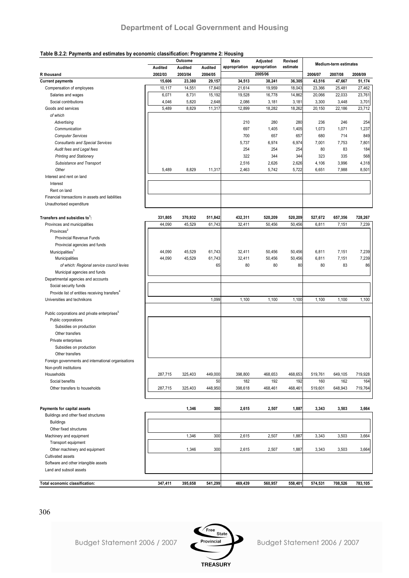#### **Table B.2.2: Payments and estimates by economic classification: Programme 2: Housing**

| radio D.E.E. 1 ayındına ana dolmalda by documini ciadəmidalən. 1 regianmic E. Heading |         | Outcome |         | Main                        | Adjusted   | <b>Revised</b> |         |                              |         |
|---------------------------------------------------------------------------------------|---------|---------|---------|-----------------------------|------------|----------------|---------|------------------------------|---------|
|                                                                                       | Audited | Audited | Audited | appropriation appropriation |            | estimate       |         | <b>Medium-term estimates</b> |         |
| R thousand                                                                            | 2002/03 | 2003/04 | 2004/05 |                             | 2005/06    |                | 2006/07 | 2007/08                      | 2008/09 |
| <b>Current payments</b>                                                               | 15,606  | 23,380  | 29,157  | 34,513                      | 38,241     | 36,305         | 43,516  | 47,667                       | 51,174  |
| Compensation of employees                                                             | 10,117  | 14,551  | 17,840  | 21,614                      | 19,959     | 18,043         | 23,366  | 25,481                       | 27,462  |
| Salaries and wages                                                                    | 6,071   | 8,731   | 15,192  | 19,528                      | 16,778     | 14,862         | 20,066  | 22,033                       | 23,761  |
| Social contributions                                                                  | 4,046   | 5,820   | 2,648   | 2,086                       | 3,181      | 3,181          | 3,300   | 3,448                        | 3,701   |
| Goods and services                                                                    | 5,489   | 8,829   | 11,317  | 12,899                      | 18,282     | 18,262         | 20,150  | 22,186                       | 23,712  |
| of which                                                                              |         |         |         |                             |            |                |         |                              |         |
| Advertising                                                                           |         |         |         | 210                         | 280        | 280            | 236     | 246                          | 254     |
| Communication                                                                         |         |         |         | 697                         | 1,405      | 1,405          | 1,073   | 1,071                        | 1,237   |
| <b>Computer Services</b>                                                              |         |         |         | 700                         | 657        | 657            | 680     | 714                          | 849     |
| <b>Consultants and Special Services</b>                                               |         |         |         | 5,737                       | 6,974      | 6,974          | 7,001   | 7,753                        | 7,801   |
|                                                                                       |         |         |         | 254                         |            |                | 80      | 83                           | 184     |
| Audit fees and Legal fees                                                             |         |         |         |                             | 254<br>344 | 254            | 323     |                              |         |
| <b>Printing and Stationery</b>                                                        |         |         |         | 322                         |            | 344            |         | 335                          | 568     |
| Subsistance and Transport                                                             |         |         |         | 2,516                       | 2,626      | 2,626          | 4,106   | 3,996                        | 4,318   |
| Other                                                                                 | 5,489   | 8,829   | 11,317  | 2,463                       | 5,742      | 5,722          | 6,651   | 7,988                        | 8,501   |
| Interest and rent on land                                                             |         |         |         |                             |            |                |         |                              |         |
| Interest                                                                              |         |         |         |                             |            |                |         |                              |         |
| Rent on land                                                                          |         |         |         |                             |            |                |         |                              |         |
| Financial transactions in assets and liabilities                                      |         |         |         |                             |            |                |         |                              |         |
| Unauthorised expenditure                                                              |         |         |         |                             |            |                |         |                              |         |
| Transfers and subsidies to <sup>1</sup> :                                             | 331,805 | 370,932 | 511,842 | 432,311                     | 520,209    | 520,209        | 527,672 | 657,356                      | 728,267 |
| Provinces and municipalities                                                          | 44,090  | 45,529  | 61,743  | 32,411                      | 50,456     | 50,456         | 6,811   | 7,151                        | 7,239   |
| Provinces <sup>2</sup>                                                                |         |         |         |                             |            |                |         |                              |         |
| Provincial Revenue Funds                                                              |         |         |         |                             |            |                |         |                              |         |
| Provincial agencies and funds                                                         |         |         |         |                             |            |                |         |                              |         |
| Municipalities <sup>3</sup>                                                           | 44,090  | 45,529  | 61,743  | 32,411                      | 50,456     | 50,456         | 6,811   | 7,151                        | 7,239   |
|                                                                                       |         |         |         |                             |            |                |         |                              | 7,239   |
| Municipalities                                                                        | 44,090  | 45,529  | 61,743  | 32,411                      | 50,456     | 50,456         | 6,811   | 7,151                        |         |
| of which: Regional service council levies                                             |         |         | 65      | 80                          | 80         | 80             | 80      | 83                           | 86      |
| Municipal agencies and funds                                                          |         |         |         |                             |            |                |         |                              |         |
| Departmental agencies and accounts                                                    |         |         |         |                             |            |                |         |                              |         |
| Social security funds                                                                 |         |         |         |                             |            |                |         |                              |         |
| Provide list of entities receiving transfers <sup>4</sup>                             |         |         |         |                             |            |                |         |                              |         |
| Universities and technikons                                                           |         |         | 1,099   | 1,100                       | 1,100      | 1,100          | 1,100   | 1,100                        | 1,100   |
| Public corporations and private enterprises <sup>5</sup>                              |         |         |         |                             |            |                |         |                              |         |
| Public corporations                                                                   |         |         |         |                             |            |                |         |                              |         |
| Subsidies on production                                                               |         |         |         |                             |            |                |         |                              |         |
| Other transfers                                                                       |         |         |         |                             |            |                |         |                              |         |
| Private enterprises                                                                   |         |         |         |                             |            |                |         |                              |         |
| Subsidies on production                                                               |         |         |         |                             |            |                |         |                              |         |
| Other transfers                                                                       |         |         |         |                             |            |                |         |                              |         |
| Foreign governments and international organisations                                   |         |         |         |                             |            |                |         |                              |         |
|                                                                                       |         |         |         |                             |            |                |         |                              |         |
| Non-profit institutions                                                               |         |         |         |                             |            |                |         |                              |         |
| Households                                                                            | 287,715 | 325,403 | 449,000 | 398,800                     | 468,653    | 468,653        | 519,761 | 649,105                      | 719,928 |
| Social benefits                                                                       |         |         | 50      | 182                         | 192        | 192            | 160     | 162                          | 164     |
| Other transfers to households                                                         | 287,715 | 325,403 | 448,950 | 398,618                     | 468,461    | 468,461        | 519,601 | 648,943                      | 719,764 |
|                                                                                       |         |         |         |                             |            |                |         |                              |         |
| Payments for capital assets                                                           |         | 1,346   | 300     | 2,615                       | 2,507      | 1,887          | 3,343   | 3,503                        | 3,664   |
| Buildings and other fixed structures                                                  |         |         |         |                             |            |                |         |                              |         |
| <b>Buildings</b>                                                                      |         |         |         |                             |            |                |         |                              |         |
| Other fixed structures                                                                |         |         |         |                             |            |                |         |                              |         |
| Machinery and equipment                                                               |         | 1,346   | 300     | 2,615                       | 2,507      | 1,887          | 3,343   | 3,503                        | 3,664   |
| Transport equipment                                                                   |         |         |         |                             |            |                |         |                              |         |
| Other machinery and equipment                                                         |         | 1,346   | 300     | 2,615                       | 2,507      | 1,887          | 3,343   | 3,503                        | 3,664   |
| Cultivated assets                                                                     |         |         |         |                             |            |                |         |                              |         |
| Software and other intangible assets                                                  |         |         |         |                             |            |                |         |                              |         |
| Land and subsoil assets                                                               |         |         |         |                             |            |                |         |                              |         |
|                                                                                       |         |         |         |                             |            |                |         |                              |         |
| Total economic classification:                                                        | 347,411 | 395,658 | 541,299 | 469,439                     | 560,957    | 558,401        | 574,531 | 708,526                      | 783,105 |

306



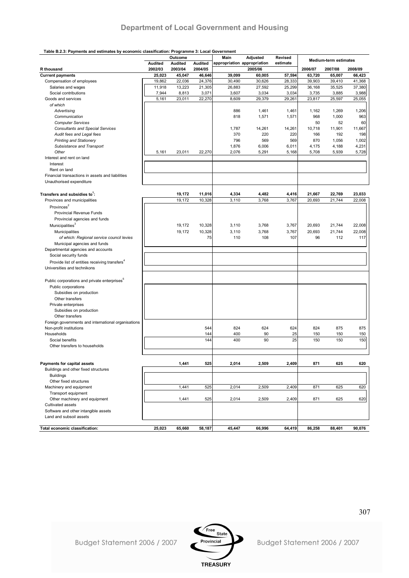#### **Table B.2.3: Payments and estimates by economic classification: Programme 3: Local Government**

|                                                           |         | Outcome        |         | Main                        | Adjusted     | <b>Revised</b> |              |                              |               |
|-----------------------------------------------------------|---------|----------------|---------|-----------------------------|--------------|----------------|--------------|------------------------------|---------------|
|                                                           | Audited | <b>Audited</b> | Audited | appropriation appropriation |              | estimate       |              | <b>Medium-term estimates</b> |               |
| R thousand                                                | 2002/03 | 2003/04        | 2004/05 |                             | 2005/06      |                | 2006/07      | 2007/08                      | 2008/09       |
| <b>Current payments</b>                                   | 25,023  | 45,047         | 46,646  | 39,099                      | 60,005       | 57,594         | 63,720       | 65,007                       | 66,423        |
|                                                           | 19,862  | 22,036         | 24,376  | 30,490                      | 30,626       | 28,333         | 39,903       | 39,410                       | 41,368        |
| Compensation of employees                                 |         |                |         |                             |              |                |              |                              |               |
| Salaries and wages<br>Social contributions                | 11,918  | 13,223         | 21,305  | 26,883                      | 27,592       | 25,299         | 36,168       | 35,525                       | 37,380        |
|                                                           | 7,944   | 8,813          | 3,071   | 3,607                       | 3,034        | 3,034          | 3,735        | 3,885                        | 3,988         |
| Goods and services                                        | 5,161   | 23,011         | 22,270  | 8,609                       | 29,379       | 29,261         | 23,817       | 25,597                       | 25,055        |
| of which                                                  |         |                |         |                             |              |                |              |                              |               |
| Advertising                                               |         |                |         | 886                         | 1,461        | 1,461          | 1,162        | 1,269                        | 1,206         |
| Communication                                             |         |                |         | 818                         | 1,571        | 1,571          | 968          | 1,000                        | 963           |
| <b>Computer Services</b>                                  |         |                |         |                             |              |                | 50           | 52                           | 60            |
| <b>Consultants and Special Services</b>                   |         |                |         | 1,787                       | 14,261       | 14,261         | 10,718       | 11,901                       | 11,667        |
| Audit fees and Legal fees                                 |         |                |         | 370                         | 220          | 220            | 166          | 192                          | 198           |
| <b>Printing and Stationery</b>                            |         |                |         | 796                         | 569          | 569            | 870          | 1,056                        | 1,002         |
| Subsistance and Transport                                 |         |                |         | 1,876                       | 6,006        | 6,011          | 4,175        | 4,188                        | 4,231         |
| Other                                                     | 5,161   | 23,011         | 22,270  | 2,076                       | 5,291        | 5,168          | 5,708        | 5,939                        | 5,728         |
| Interest and rent on land                                 |         |                |         |                             |              |                |              |                              |               |
| Interest                                                  |         |                |         |                             |              |                |              |                              |               |
| Rent on land                                              |         |                |         |                             |              |                |              |                              |               |
| Financial transactions in assets and liabilities          |         |                |         |                             |              |                |              |                              |               |
|                                                           |         |                |         |                             |              |                |              |                              |               |
| Unauthorised expenditure                                  |         |                |         |                             |              |                |              |                              |               |
|                                                           |         |                |         |                             |              |                |              |                              |               |
| Transfers and subsidies to <sup>1</sup> :                 |         | 19,172         | 11,016  | 4,334                       | 4,482        | 4,416          | 21,667       | 22,769                       | 23,033        |
| Provinces and municipalities                              |         | 19,172         | 10,328  | 3,110                       | 3,768        | 3,767          | 20,693       | 21,744                       | 22,008        |
| Provinces <sup>2</sup>                                    |         |                |         |                             |              |                |              |                              |               |
| Provincial Revenue Funds                                  |         |                |         |                             |              |                |              |                              |               |
| Provincial agencies and funds                             |         |                |         |                             |              |                |              |                              |               |
| Municipalities <sup>3</sup>                               |         | 19.172         | 10,328  | 3,110                       | 3,768        | 3,767          | 20,693       | 21,744                       | 22,008        |
|                                                           |         |                |         |                             |              |                |              |                              |               |
| Municipalities                                            |         | 19,172         | 10,328  | 3,110                       | 3,768<br>108 | 3,767          | 20,693<br>96 | 21,744<br>112                | 22,008<br>117 |
| of which: Regional service council levies                 |         |                | 75      | 110                         |              | 107            |              |                              |               |
| Municipal agencies and funds                              |         |                |         |                             |              |                |              |                              |               |
| Departmental agencies and accounts                        |         |                |         |                             |              |                |              |                              |               |
| Social security funds                                     |         |                |         |                             |              |                |              |                              |               |
| Provide list of entities receiving transfers <sup>4</sup> |         |                |         |                             |              |                |              |                              |               |
| Universities and technikons                               |         |                |         |                             |              |                |              |                              |               |
|                                                           |         |                |         |                             |              |                |              |                              |               |
| Public corporations and private enterprises <sup>5</sup>  |         |                |         |                             |              |                |              |                              |               |
| Public corporations                                       |         |                |         |                             |              |                |              |                              |               |
| Subsidies on production                                   |         |                |         |                             |              |                |              |                              |               |
| Other transfers                                           |         |                |         |                             |              |                |              |                              |               |
|                                                           |         |                |         |                             |              |                |              |                              |               |
| Private enterprises                                       |         |                |         |                             |              |                |              |                              |               |
| Subsidies on production                                   |         |                |         |                             |              |                |              |                              |               |
| Other transfers                                           |         |                |         |                             |              |                |              |                              |               |
| Foreign governments and international organisations       |         |                |         |                             |              |                |              |                              |               |
| Non-profit institutions                                   |         |                | 544     | 824                         | 624          | 624            | 824          | 875                          | 875           |
| Households                                                |         |                | 144     | 400                         | 90           | 25             | 150          | 150                          | 150           |
| Social benefits                                           |         |                | 144     | 400                         | 90           | 25             | 150          | 150                          | 150           |
| Other transfers to households                             |         |                |         |                             |              |                |              |                              |               |
|                                                           |         |                |         |                             |              |                |              |                              |               |
|                                                           |         |                |         |                             |              |                |              |                              |               |
| Payments for capital assets                               |         | 1,441          | 525     | 2,014                       | 2,509        | 2,409          | 871          | 625                          | 620           |
| Buildings and other fixed structures                      |         |                |         |                             |              |                |              |                              |               |
| <b>Buildings</b>                                          |         |                |         |                             |              |                |              |                              |               |
| Other fixed structures                                    |         |                |         |                             |              |                |              |                              |               |
| Machinery and equipment                                   |         | 1,441          | 525     | 2,014                       | 2,509        | 2,409          | 871          | 625                          | 620           |
| Transport equipment                                       |         |                |         |                             |              |                |              |                              |               |
| Other machinery and equipment                             |         | 1,441          | 525     | 2,014                       | 2,509        | 2,409          | 871          | 625                          | 620           |
|                                                           |         |                |         |                             |              |                |              |                              |               |
| Cultivated assets                                         |         |                |         |                             |              |                |              |                              |               |
| Software and other intangible assets                      |         |                |         |                             |              |                |              |                              |               |
| Land and subsoil assets                                   |         |                |         |                             |              |                |              |                              |               |
|                                                           |         |                |         |                             |              |                |              |                              |               |
| Total economic classification:                            | 25,023  | 65,660         | 58,187  | 45,447                      | 66,996       | 64,419         | 86,258       | 88,401                       | 90,076        |

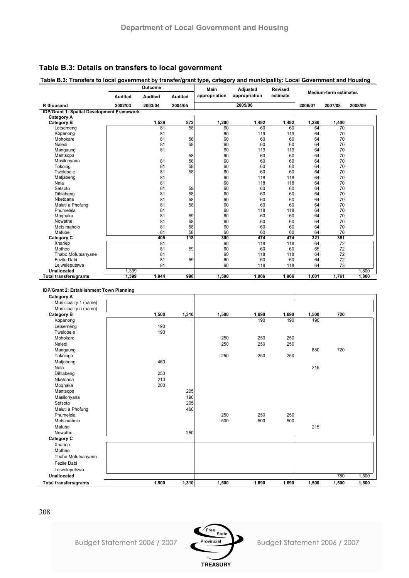### **Table B.3: Details on transfers to local government**

#### **Table B.3: Transfers to local government by transfer/grant type, category and municipality: Local Government and Housing**

|                                                   |                | Outcome |                | Main          | <b>Adjusted</b> | <b>Revised</b> |         |                              |         |
|---------------------------------------------------|----------------|---------|----------------|---------------|-----------------|----------------|---------|------------------------------|---------|
|                                                   | <b>Audited</b> | Audited | <b>Audited</b> | appropriation | appropriation   | estimate       |         | <b>Medium-term estimates</b> |         |
| R thousand                                        | 2002/03        | 2003/04 | 2004/05        |               | 2005/06         |                | 2006/07 | 2007/08                      | 2008/09 |
| <b>IDP/Grant 1: Spatial Development Framework</b> |                |         |                |               |                 |                |         |                              |         |
| <b>Category A</b>                                 |                |         |                |               |                 |                |         |                              |         |
| <b>Category B</b>                                 |                | 1,539   | 872            | 1,200         | 1,492           | 1,492          | 1,280   | 1,400                        |         |
| Letsemeng                                         |                | 81      | 58             | 60            | 60              | 60             | 64      | 70                           |         |
| Kopanong                                          |                | 81      |                | 60            | 119             | 119            | 64      | 70                           |         |
| Mohokare                                          |                | 81      | 58             | 60            | 60              | 60             | 64      | 70                           |         |
| Naledi                                            |                | 81      | 58             | 60            | 60              | 60             | 64      | 70                           |         |
| Mangaung                                          |                | 81      |                | 60            | 119             | 119            | 64      | 70                           |         |
| Mantsopa                                          |                |         | 58             | 60            | 60              | 60             | 64      | 70                           |         |
| Masilonyana                                       |                | 81      | 58             | 60            | 60              | 60             | 64      | 70                           |         |
| Tokolog                                           |                | 81      | 58             | 60            | 60              | 60             | 64      | 70                           |         |
| Twelopele                                         |                | 81      | 58             | 60            | 60              | 60             | 64      | 70                           |         |
| Matjabeng                                         |                | 81      |                | 60            | 118             | 118            | 64      | 70                           |         |
| Nala                                              |                | 81      |                | 60            | 118             | 118            | 64      | 70                           |         |
| Setsoto                                           |                | 81      | 59             | 60            | 60              | 60             | 64      | 70                           |         |
| Dihlabeng                                         |                | 81      | 58             | 60            | 60              | 60             | 64      | 70                           |         |
| Nketoana                                          |                | 81      | 58             | 60            | 60              | 60             | 64      | 70                           |         |
| Maluti a Phofung                                  |                | 81      | 58             | 60            | 60              | 60             | 64      | 70                           |         |
| Phumelela                                         |                | 81      |                | 60            | 118             | 118            | 64      | 70                           |         |
| Moghaka                                           |                | 81      | 59             | 60            | 60              | 60             | 64      | 70                           |         |
| Ngwathe                                           |                | 81      | 58             | 60            | 60              | 60             | 64      | 70                           |         |
| Metsimaholo                                       |                | 81      | 58             | 60            | 60              | 60             | 64      | 70                           |         |
| Mafube                                            |                | 81      | 58             | 60            | 60              | 60             | 64      | 70                           |         |
| Category C                                        |                | 405     | 118            | 300           | 474             | 474            | 321     | 361                          |         |
| Xhariep                                           |                | 81      |                | 60            | 118             | 118            | 64      | 72                           |         |
| Motheo                                            |                | 81      | 59             | 60            | 60              | 60             | 65      | 72                           |         |
| Thabo Mofutsanyane                                |                | 81      |                | 60            | 118             | 118            | 64      | 72                           |         |
| Fezile Dabi                                       |                | 81      | 59             | 60            | 60              | 60             | 64      | 72                           |         |
| Leiweleputswa                                     |                | 81      |                | 60            | 118             | 118            | 64      | 73                           |         |
| <b>Unallocated</b>                                | 1,399          |         |                |               |                 |                |         |                              | 1,800   |
| <b>Total transfers/grants</b>                     | 1,399          | 1,944   | 990            | 1.500         | 1,966           | 1,966          | 1.601   | 1,761                        | 1.800   |
|                                                   |                |         |                |               |                 |                |         |                              |         |

#### **IDP/Grant 2: Establishment Town Planning**

| <b>Category A</b>      |       |       |       |       |       |       |       |       |
|------------------------|-------|-------|-------|-------|-------|-------|-------|-------|
| Municipality 1 (name)  |       |       |       |       |       |       |       |       |
| Municipality n (name)  |       |       |       |       |       |       |       |       |
| <b>Category B</b>      | 1,500 | 1,310 | 1,500 | 1,690 | 1,690 | 1,500 | 720   |       |
| Kopanong               |       |       |       | 190   | 190   | 190   |       |       |
| Letsemeng              | 190   |       |       |       |       |       |       |       |
| Twelopele              | 190   |       |       |       |       |       |       |       |
| Mohokare               |       |       | 250   | 250   | 250   |       |       |       |
| Naledi                 |       |       | 250   | 250   | 250   |       |       |       |
| Mangaung               |       |       |       |       |       | 880   | 720   |       |
| Tokologo               |       |       | 250   | 250   | 250   |       |       |       |
| Matjabeng              | 460   |       |       |       |       |       |       |       |
| Nala                   |       |       |       |       |       | 215   |       |       |
| Dihlabeng              | 250   |       |       |       |       |       |       |       |
| Nketoana               | 210   |       |       |       |       |       |       |       |
| Moqhaka                | 200   |       |       |       |       |       |       |       |
| Mantsopa               |       | 205   |       |       |       |       |       |       |
| Masilonyana            |       | 190   |       |       |       |       |       |       |
| Setsoto                |       | 205   |       |       |       |       |       |       |
| Maluti a Phofung       |       | 460   |       |       |       |       |       |       |
| Phumelela              |       |       | 250   | 250   | 250   |       |       |       |
| Metsimaholo            |       |       | 500   | 500   | 500   |       |       |       |
| Mafube                 |       |       |       |       |       | 215   |       |       |
| Nqwathe                |       | 250   |       |       |       |       |       |       |
| Category C             |       |       |       |       |       |       |       |       |
| Xhariep                |       |       |       |       |       |       |       |       |
| Motheo                 |       |       |       |       |       |       |       |       |
| Thabo Mofutsanyane     |       |       |       |       |       |       |       |       |
| Fezile Dabi            |       |       |       |       |       |       |       |       |
| Lejweleputswa          |       |       |       |       |       |       |       |       |
| Unallocated            |       |       |       |       |       |       | 780   | 1,500 |
| Total transfers/grants | 1,500 | 1,310 | 1,500 | 1,690 | 1,690 | 1,500 | 1,500 | 1,500 |

308



Budget Statement 2006 / 2007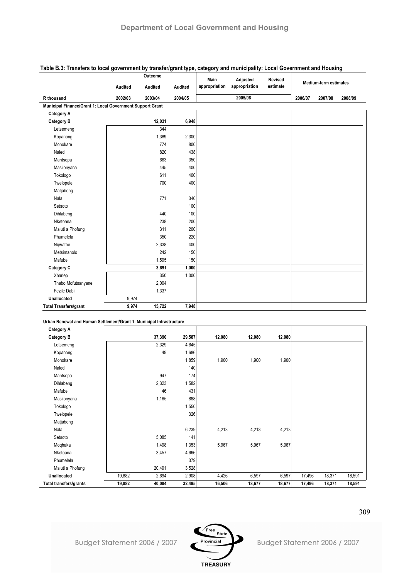|                                                           |         | Outcome |         | Main          | Adjusted      | <b>Revised</b> |         |                       |         |
|-----------------------------------------------------------|---------|---------|---------|---------------|---------------|----------------|---------|-----------------------|---------|
|                                                           | Audited | Audited | Audited | appropriation | appropriation | estimate       |         | Medium-term estimates |         |
| R thousand                                                | 2002/03 | 2003/04 | 2004/05 |               | 2005/06       |                | 2006/07 | 2007/08               | 2008/09 |
| Municipal Finance/Grant 1: Local Government Support Grant |         |         |         |               |               |                |         |                       |         |
| <b>Category A</b>                                         |         |         |         |               |               |                |         |                       |         |
| <b>Category B</b>                                         |         | 12,031  | 6,948   |               |               |                |         |                       |         |
| Letsemeng                                                 |         | 344     |         |               |               |                |         |                       |         |
| Kopanong                                                  |         | 1,389   | 2,300   |               |               |                |         |                       |         |
| Mohokare                                                  |         | 774     | 800     |               |               |                |         |                       |         |
| Naledi                                                    |         | 820     | 438     |               |               |                |         |                       |         |
| Mantsopa                                                  |         | 663     | 350     |               |               |                |         |                       |         |
| Masilonyana                                               |         | 445     | 400     |               |               |                |         |                       |         |
| Tokologo                                                  |         | 611     | 400     |               |               |                |         |                       |         |
| Twelopele                                                 |         | 700     | 400     |               |               |                |         |                       |         |
| Matjabeng                                                 |         |         |         |               |               |                |         |                       |         |
| Nala                                                      |         | 771     | 340     |               |               |                |         |                       |         |
| Setsoto                                                   |         |         | 100     |               |               |                |         |                       |         |
| Dihlabeng                                                 |         | 440     | 100     |               |               |                |         |                       |         |
| Nketoana                                                  |         | 238     | 200     |               |               |                |         |                       |         |
| Maluti a Phofung                                          |         | 311     | 200     |               |               |                |         |                       |         |
| Phumelela                                                 |         | 350     | 220     |               |               |                |         |                       |         |
| Nqwathe                                                   |         | 2,338   | 400     |               |               |                |         |                       |         |
| Metsimaholo                                               |         | 242     | 150     |               |               |                |         |                       |         |
| Mafube                                                    |         | 1,595   | 150     |               |               |                |         |                       |         |
| Category C                                                |         | 3,691   | 1,000   |               |               |                |         |                       |         |
| Xhariep                                                   |         | 350     | 1,000   |               |               |                |         |                       |         |
| Thabo Mofutsanyane                                        |         | 2,004   |         |               |               |                |         |                       |         |
| Fezile Dabi                                               |         | 1,337   |         |               |               |                |         |                       |         |
| <b>Unallocated</b>                                        | 9,974   |         |         |               |               |                |         |                       |         |
| <b>Total Transfers/grant</b>                              | 9,974   | 15,722  | 7,948   |               |               |                |         |                       |         |

### **Table B.3: Transfers to local government by transfer/grant type, category and municipality: Local Government and Housing**

#### **Urban Renewal and Human Settlement/Grant 1: Municipal Infrastructure**

| <b>Category A</b>      |        |        |        |        |        |        |        |        |        |
|------------------------|--------|--------|--------|--------|--------|--------|--------|--------|--------|
| <b>Category B</b>      |        | 37,390 | 29,587 | 12,080 | 12,080 | 12,080 |        |        |        |
| Letsemeng              |        | 2,329  | 4,645  |        |        |        |        |        |        |
| Kopanong               |        | 49     | 1,686  |        |        |        |        |        |        |
| Mohokare               |        |        | 1,859  | 1,900  | 1,900  | 1,900  |        |        |        |
| Naledi                 |        |        | 140    |        |        |        |        |        |        |
| Mantsopa               |        | 947    | 174    |        |        |        |        |        |        |
| Dihlabeng              |        | 2,323  | 1,582  |        |        |        |        |        |        |
| Mafube                 |        | 46     | 431    |        |        |        |        |        |        |
| Masilonyana            |        | 1,165  | 888    |        |        |        |        |        |        |
| Tokologo               |        |        | 1,550  |        |        |        |        |        |        |
| Twelopele              |        |        | 326    |        |        |        |        |        |        |
| Matjabeng              |        |        |        |        |        |        |        |        |        |
| Nala                   |        |        | 6,239  | 4,213  | 4,213  | 4,213  |        |        |        |
| Setsoto                |        | 5,085  | 141    |        |        |        |        |        |        |
| Moqhaka                |        | 1,498  | 1,353  | 5,967  | 5,967  | 5,967  |        |        |        |
| Nketoana               |        | 3,457  | 4,666  |        |        |        |        |        |        |
| Phumelela              |        |        | 379    |        |        |        |        |        |        |
| Maluti a Phofung       |        | 20,491 | 3,528  |        |        |        |        |        |        |
| Unallocated            | 19,882 | 2,694  | 2,908  | 4,426  | 6,597  | 6,597  | 17,496 | 18,371 | 18,591 |
| Total transfers/grants | 19,882 | 40,084 | 32,495 | 16,506 | 18,677 | 18,677 | 17,496 | 18,371 | 18,591 |